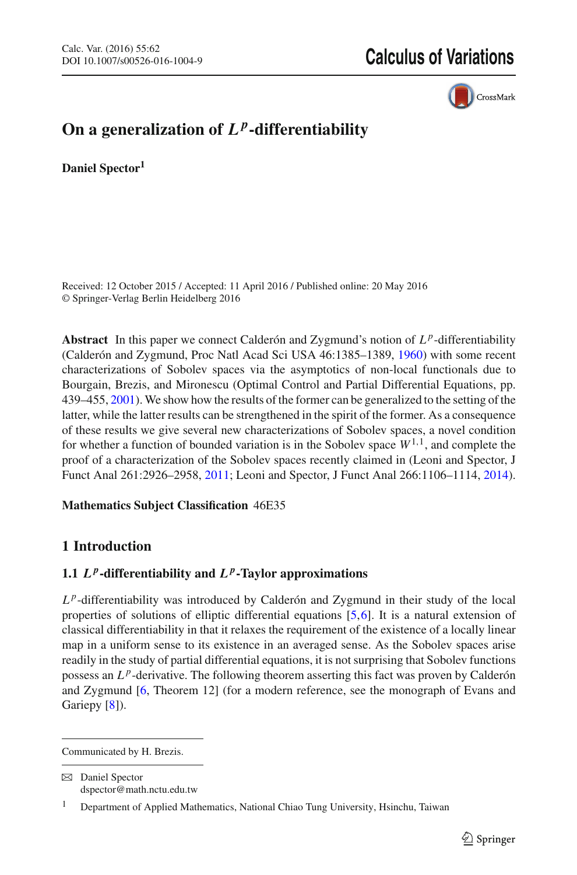CrossMark

# On a generalization of  $L^p$ -differentiability

**Daniel Spector1**

Received: 12 October 2015 / Accepted: 11 April 2016 / Published online: 20 May 2016 © Springer-Verlag Berlin Heidelberg 2016

**Abstract** In this paper we connect Calderón and Zygmund's notion of  $L^p$ -differentiability (Calderón and Zygmund, Proc Natl Acad Sci USA 46:1385–1389, [1960\)](#page-20-0) with some recent characterizations of Sobolev spaces via the asymptotics of non-local functionals due to Bourgain, Brezis, and Mironescu (Optimal Control and Partial Differential Equations, pp. 439–455, [2001\)](#page-20-1). We show how the results of the former can be generalized to the setting of the latter, while the latter results can be strengthened in the spirit of the former. As a consequence of these results we give several new characterizations of Sobolev spaces, a novel condition for whether a function of bounded variation is in the Sobolev space  $W^{1,1}$ , and complete the proof of a characterization of the Sobolev spaces recently claimed in (Leoni and Spector, J Funct Anal 261:2926–2958, [2011;](#page-20-2) Leoni and Spector, J Funct Anal 266:1106–1114, [2014\)](#page-20-3).

## **Mathematics Subject Classification** 46E35

## **1 Introduction**

## **1.1**  $L^p$ **-differentiability and**  $L^p$ **-Taylor approximations**

 $L^p$ -differentiability was introduced by Calderón and Zygmund in their study of the local properties of solutions of elliptic differential equations [\[5](#page-20-0)[,6\]](#page-20-4). It is a natural extension of classical differentiability in that it relaxes the requirement of the existence of a locally linear map in a uniform sense to its existence in an averaged sense. As the Sobolev spaces arise readily in the study of partial differential equations, it is not surprising that Sobolev functions possess an *L <sup>p</sup>*-derivative. The following theorem asserting this fact was proven by Calderón and Zygmund [\[6,](#page-20-4) Theorem 12] (for a modern reference, see the monograph of Evans and Gariepy [\[8\]](#page-20-5)).

 $\boxtimes$  Daniel Spector dspector@math.nctu.edu.tw

<span id="page-0-0"></span>Communicated by H. Brezis.

<sup>1</sup> Department of Applied Mathematics, National Chiao Tung University, Hsinchu, Taiwan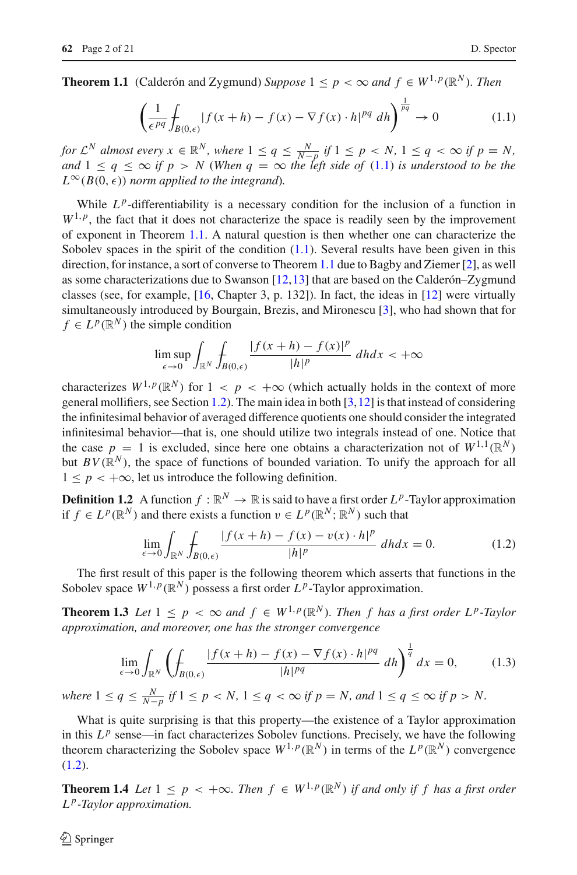**Theorem 1.1** (Calderón and Zygmund) *Suppose*  $1 \leq p < \infty$  *and*  $f \in W^{1,p}(\mathbb{R}^N)$ *. Then* 

<span id="page-1-0"></span>
$$
\left(\frac{1}{\epsilon^{pq}}\int_{B(0,\epsilon)}|f(x+h)-f(x)-\nabla f(x)\cdot h|^{pq} dh\right)^{\frac{1}{pq}}\to 0\tag{1.1}
$$

*for*  $\mathcal{L}^N$  almost every  $x \in \mathbb{R}^N$ , where  $1 \leq q \leq \frac{N}{N-p}$  if  $1 \leq p \leq N$ ,  $1 \leq q \leq \infty$  if  $p = N$ , *and*  $1 \leq q \leq \infty$  *if*  $p > N$  (When  $q = \infty$  the left side of [\(1.1\)](#page-1-0) *is understood to be the*  $L^{\infty}(B(0, \epsilon))$  norm applied to the integrand).

While  $L^p$ -differentiability is a necessary condition for the inclusion of a function in  $W^{1,p}$ , the fact that it does not characterize the space is readily seen by the improvement of exponent in Theorem [1.1.](#page-0-0) A natural question is then whether one can characterize the Sobolev spaces in the spirit of the condition  $(1.1)$ . Several results have been given in this direction, for instance, a sort of converse to Theorem [1.1](#page-0-0) due to Bagby and Ziemer [\[2\]](#page-20-6), as well as some characterizations due to Swanson [\[12](#page-20-7)[,13](#page-20-8)] that are based on the Calderón–Zygmund classes (see, for example, [\[16](#page-20-9), Chapter 3, p. 132]). In fact, the ideas in [\[12\]](#page-20-7) were virtually simultaneously introduced by Bourgain, Brezis, and Mironescu [\[3](#page-20-1)], who had shown that for  $f \in L^p(\mathbb{R}^N)$  the simple condition

$$
\limsup_{\epsilon \to 0} \int_{\mathbb{R}^N} \int_{B(0,\epsilon)} \frac{|f(x+h) - f(x)|^p}{|h|^p} dh dx < +\infty
$$

characterizes  $W^{1,p}(\mathbb{R}^N)$  for  $1 < p < +\infty$  (which actually holds in the context of more general mollifiers, see Section [1.2\)](#page-2-0). The main idea in both  $[3,12]$  $[3,12]$  $[3,12]$  is that instead of considering the infinitesimal behavior of averaged difference quotients one should consider the integrated infinitesimal behavior—that is, one should utilize two integrals instead of one. Notice that the case  $p = 1$  is excluded, since here one obtains a characterization not of  $W^{1,1}(\mathbb{R}^N)$ but  $BV(\mathbb{R}^N)$ , the space of functions of bounded variation. To unify the approach for all  $1 \leq p \leq +\infty$ , let us introduce the following definition.

**Definition 1.2** A function  $f : \mathbb{R}^N \to \mathbb{R}$  is said to have a first order  $L^p$ -Taylor approximation if *f* ∈ *L*<sup>*p*</sup>( $\mathbb{R}^N$ ) and there exists a function  $v \in L^p(\mathbb{R}^N; \mathbb{R}^N)$  such that

<span id="page-1-1"></span>
$$
\lim_{\epsilon \to 0} \int_{\mathbb{R}^N} \int_{B(0,\epsilon)} \frac{|f(x+h) - f(x) - v(x) \cdot h|^p}{|h|^p} \, dh dx = 0. \tag{1.2}
$$

<span id="page-1-3"></span>The first result of this paper is the following theorem which asserts that functions in the Sobolev space  $W^{1,p}(\mathbb{R}^N)$  possess a first order  $L^p$ -Taylor approximation.

**Theorem 1.3** *Let*  $1 \leq p < \infty$  *and*  $f \in W^{1,p}(\mathbb{R}^N)$ *. Then f has a first order L<sup>p</sup>-Taylor approximation, and moreover, one has the stronger convergence*

<span id="page-1-2"></span>
$$
\lim_{\epsilon \to 0} \int_{\mathbb{R}^N} \left( \int_{B(0,\epsilon)} \frac{|f(x+h) - f(x) - \nabla f(x) \cdot h|^{pq}}{|h|^{pq}} \, dh \right)^{\frac{1}{q}} dx = 0, \tag{1.3}
$$

*where*  $1 \leq q \leq \frac{N}{N-p}$  *if*  $1 \leq p < N$ ,  $1 \leq q < \infty$  *if*  $p = N$ *, and*  $1 \leq q \leq \infty$  *if*  $p > N$ *.* 

What is quite surprising is that this property—the existence of a Taylor approximation in this  $L^p$  sense—in fact characterizes Sobolev functions. Precisely, we have the following theorem characterizing the Sobolev space  $W^{1,p}(\mathbb{R}^N)$  in terms of the  $L^p(\mathbb{R}^N)$  convergence  $(1.2).$  $(1.2).$ 

<span id="page-1-4"></span>**Theorem 1.4** *Let*  $1 \leq p \leq +\infty$ *. Then*  $f \in W^{1,p}(\mathbb{R}^N)$  *if and only if f has a first order L p-Taylor approximation.*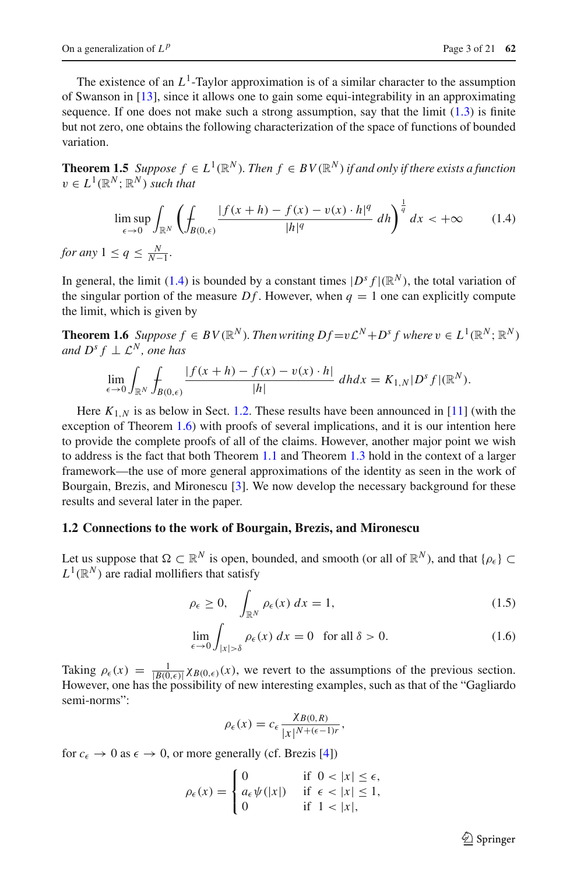The existence of an  $L^1$ -Taylor approximation is of a similar character to the assumption of Swanson in [\[13\]](#page-20-8), since it allows one to gain some equi-integrability in an approximating sequence. If one does not make such a strong assumption, say that the limit  $(1.3)$  is finite but not zero, one obtains the following characterization of the space of functions of bounded variation.

<span id="page-2-5"></span>**Theorem 1.5** *Suppose*  $f \in L^1(\mathbb{R}^N)$ *. Then*  $f \in BV(\mathbb{R}^N)$  *if and only if there exists a function*  $v \in L^1(\mathbb{R}^N; \mathbb{R}^N)$  *such that* 

<span id="page-2-1"></span>
$$
\limsup_{\epsilon \to 0} \int_{\mathbb{R}^N} \left( \int_{B(0,\epsilon)} \frac{|f(x+h) - f(x) - v(x) \cdot h|^q}{|h|^q} \, dh \right)^{\frac{1}{q}} dx < +\infty \tag{1.4}
$$

*for any*  $1 \leq q \leq \frac{N}{N-1}$ *.* 

In general, the limit [\(1.4\)](#page-2-1) is bounded by a constant times  $|D^s f|(\mathbb{R}^N)$ , the total variation of the singular portion of the measure  $Df$ . However, when  $q = 1$  one can explicitly compute the limit, which is given by

<span id="page-2-2"></span>**Theorem 1.6** *Suppose*  $f \in BV(\mathbb{R}^N)$ *. Then writing Df* =v $\mathcal{L}^N$ +*D*<sup>*s*</sup> *f where*  $v \in L^1(\mathbb{R}^N; \mathbb{R}^N)$ *and*  $D^s f \perp \mathcal{L}^N$ *, one has* 

$$
\lim_{\epsilon \to 0} \int_{\mathbb{R}^N} \int_{B(0,\epsilon)} \frac{|f(x+h) - f(x) - v(x) \cdot h|}{|h|} dh dx = K_{1,N} |D^s f|(\mathbb{R}^N).
$$

Here  $K_{1,N}$  is as below in Sect. [1.2.](#page-2-0) These results have been announced in [\[11](#page-20-10)] (with the exception of Theorem [1.6\)](#page-2-2) with proofs of several implications, and it is our intention here to provide the complete proofs of all of the claims. However, another major point we wish to address is the fact that both Theorem [1.1](#page-0-0) and Theorem [1.3](#page-1-3) hold in the context of a larger framework—the use of more general approximations of the identity as seen in the work of Bourgain, Brezis, and Mironescu [\[3](#page-20-1)]. We now develop the necessary background for these results and several later in the paper.

#### <span id="page-2-0"></span>**1.2 Connections to the work of Bourgain, Brezis, and Mironescu**

Let us suppose that  $\Omega \subset \mathbb{R}^N$  is open, bounded, and smooth (or all of  $\mathbb{R}^N$ ), and that  $\{\rho_{\epsilon}\}\subset$  $L^1(\mathbb{R}^N)$  are radial mollifiers that satisfy

<span id="page-2-3"></span>
$$
\rho_{\epsilon} \ge 0, \quad \int_{\mathbb{R}^N} \rho_{\epsilon}(x) \, dx = 1,\tag{1.5}
$$

$$
\lim_{\epsilon \to 0} \int_{|x| > \delta} \rho_{\epsilon}(x) dx = 0 \quad \text{for all } \delta > 0.
$$
 (1.6)

Taking  $\rho_{\epsilon}(x) = \frac{1}{|B(0,\epsilon)|} \chi_{B(0,\epsilon)}(x)$ , we revert to the assumptions of the previous section. However, one has the possibility of new interesting examples, such as that of the "Gagliardo semi-norms":

<span id="page-2-4"></span>
$$
\rho_{\epsilon}(x) = c_{\epsilon} \frac{\chi_{B(0,R)}}{|x|^{N+(\epsilon-1)r}},
$$

for  $c_{\epsilon} \to 0$  as  $\epsilon \to 0$ , or more generally (cf. Brezis [\[4](#page-20-11)])

$$
\rho_{\epsilon}(x) = \begin{cases} 0 & \text{if } 0 < |x| \le \epsilon, \\ a_{\epsilon} \psi(|x|) & \text{if } \epsilon < |x| \le 1, \\ 0 & \text{if } 1 < |x|, \end{cases}
$$

 $\circled{2}$  Springer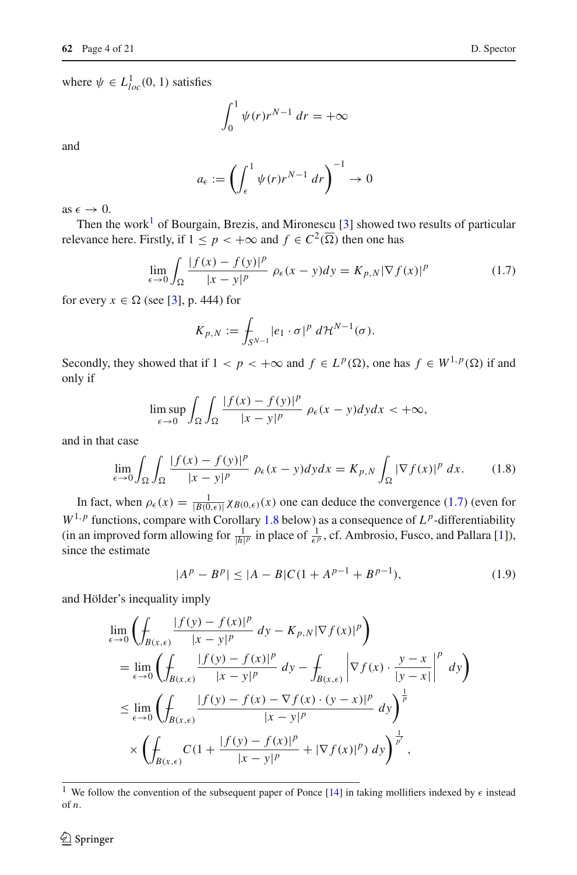where  $\psi \in L^1_{loc}(0, 1)$  satisfies

$$
\int_0^1 \psi(r)r^{N-1} dr = +\infty
$$

and

$$
a_{\epsilon} := \left(\int_{\epsilon}^{1} \psi(r)r^{N-1} \, dr\right)^{-1} \to 0
$$

as  $\epsilon \to 0$ .

Then the work<sup>[1](#page-3-0)</sup> of Bourgain, Brezis, and Mironescu  $\lceil 3 \rceil$  showed two results of particular relevance here. Firstly, if  $1 \leq p \leq +\infty$  and  $f \in C^2(\overline{\Omega})$  then one has

$$
\lim_{\epsilon \to 0} \int_{\Omega} \frac{|f(x) - f(y)|^p}{|x - y|^p} \rho_{\epsilon}(x - y) dy = K_{p,N} |\nabla f(x)|^p \tag{1.7}
$$

for every  $x \in \Omega$  (see [\[3](#page-20-1)], p. 444) for

<span id="page-3-1"></span>
$$
K_{p,N} := \int_{S^{N-1}} |e_1 \cdot \sigma|^p \ d\mathcal{H}^{N-1}(\sigma).
$$

Secondly, they showed that if  $1 < p < +\infty$  and  $f \in L^p(\Omega)$ , one has  $f \in W^{1,p}(\Omega)$  if and only if

$$
\limsup_{\epsilon \to 0} \int_{\Omega} \int_{\Omega} \frac{|f(x) - f(y)|^p}{|x - y|^p} \, \rho_{\epsilon}(x - y) dy dx < +\infty,
$$

and in that case

$$
\lim_{\epsilon \to 0} \int_{\Omega} \int_{\Omega} \frac{|f(x) - f(y)|^p}{|x - y|^p} \, \rho_{\epsilon}(x - y) dy dx = K_{p,N} \int_{\Omega} |\nabla f(x)|^p \, dx. \tag{1.8}
$$

In fact, when  $\rho_{\epsilon}(x) = \frac{1}{|B(0,\epsilon)|} \chi_{B(0,\epsilon)}(x)$  one can deduce the convergence [\(1.7\)](#page-3-1) (even for  $W^{1,p}$  functions, compare with Corollary [1.8](#page-4-0) below) as a consequence of  $L^p$ -differentiability (in an improved form allowing for  $\frac{1}{|h|^p}$  in place of  $\frac{1}{\epsilon^p}$ , cf. Ambrosio, Fusco, and Pallara [\[1](#page-20-12)]), since the estimate

<span id="page-3-3"></span><span id="page-3-2"></span>
$$
|A^p - B^p| \le |A - B|C(1 + A^{p-1} + B^{p-1}), \tag{1.9}
$$

and Hölder's inequality imply

$$
\lim_{\epsilon \to 0} \left( \oint_{B(x,\epsilon)} \frac{|f(y) - f(x)|^p}{|x - y|^p} dy - K_{p,N} |\nabla f(x)|^p \right)
$$
\n
$$
= \lim_{\epsilon \to 0} \left( \oint_{B(x,\epsilon)} \frac{|f(y) - f(x)|^p}{|x - y|^p} dy - \oint_{B(x,\epsilon)} \left| \nabla f(x) \cdot \frac{y - x}{|y - x|} \right|^p dy \right)
$$
\n
$$
\leq \lim_{\epsilon \to 0} \left( \oint_{B(x,\epsilon)} \frac{|f(y) - f(x) - \nabla f(x) \cdot (y - x)|^p}{|x - y|^p} dy \right)^{\frac{1}{p}}
$$
\n
$$
\times \left( \oint_{B(x,\epsilon)} C \left( 1 + \frac{|f(y) - f(x)|^p}{|x - y|^p} + |\nabla f(x)|^p \right) dy \right)^{\frac{1}{p'}},
$$

<span id="page-3-0"></span><sup>&</sup>lt;sup>1</sup> We follow the convention of the subsequent paper of Ponce [\[14\]](#page-20-13) in taking mollifiers indexed by  $\epsilon$  instead of *n*.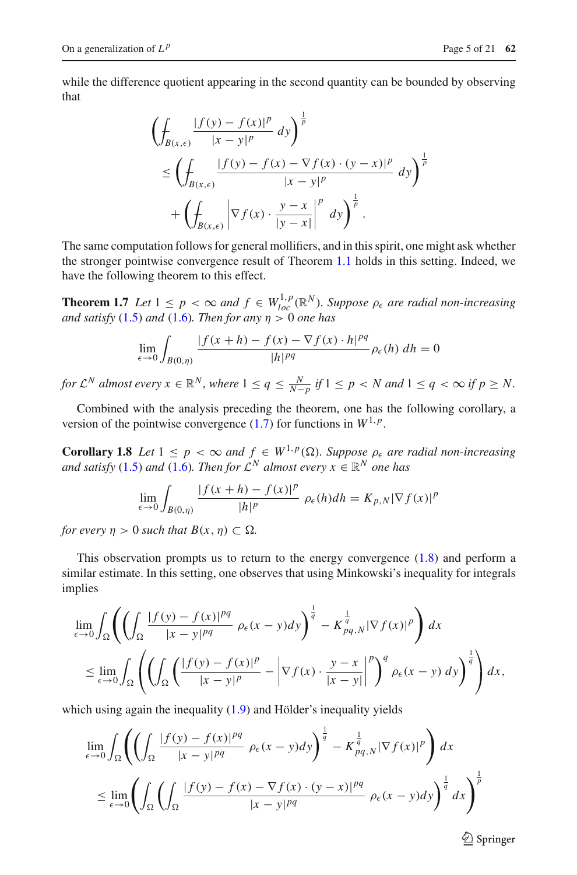while the difference quotient appearing in the second quantity can be bounded by observing that

$$
\left(\oint_{B(x,\epsilon)} \frac{|f(y) - f(x)|^p}{|x - y|^p} dy\right)^{\frac{1}{p}}\n\leq \left(\oint_{B(x,\epsilon)} \frac{|f(y) - f(x) - \nabla f(x) \cdot (y - x)|^p}{|x - y|^p} dy\right)^{\frac{1}{p}}\n+\n\left(\oint_{B(x,\epsilon)} \left|\nabla f(x) \cdot \frac{y - x}{|y - x|}\right|^p dy\right)^{\frac{1}{p}}.
$$

The same computation follows for general mollifiers, and in this spirit, one might ask whether the stronger pointwise convergence result of Theorem [1.1](#page-0-0) holds in this setting. Indeed, we have the following theorem to this effect.

**Theorem 1.7** *Let*  $1 \leq p \leq \infty$  *and*  $f \in W_{loc}^{1,p}(\mathbb{R}^N)$ *. Suppose*  $\rho_{\epsilon}$  *are radial non-increasing and satisfy* [\(1.5\)](#page-2-3) *and* [\(1.6\)](#page-2-4)*. Then for any*  $\eta > 0$  *one has* 

<span id="page-4-1"></span>
$$
\lim_{\epsilon \to 0} \int_{B(0,\eta)} \frac{|f(x+h) - f(x) - \nabla f(x) \cdot h|^{pq}}{|h|^{pq}} \rho_{\epsilon}(h) dh = 0
$$

*for*  $\mathcal{L}^N$  *almost every*  $x \in \mathbb{R}^N$ *, where*  $1 \leq q \leq \frac{N}{N-p}$  *if*  $1 \leq p < N$  *and*  $1 \leq q < \infty$  *if*  $p \geq N$ *.* 

<span id="page-4-0"></span>Combined with the analysis preceding the theorem, one has the following corollary, a version of the pointwise convergence  $(1.7)$  for functions in  $W^{1,p}$ .

**Corollary 1.8** Let  $1 \leq p < \infty$  and  $f \in W^{1,p}(\Omega)$ . Suppose  $p_{\epsilon}$  are radial non-increasing *and satisfy* [\(1.5\)](#page-2-3) *and* [\(1.6\)](#page-2-4)*. Then for*  $\mathcal{L}^N$  *almost every*  $x \in \mathbb{R}^N$  *one has* 

$$
\lim_{\epsilon \to 0} \int_{B(0,\eta)} \frac{|f(x+h) - f(x)|^p}{|h|^p} \rho_{\epsilon}(h) dh = K_{p,N} |\nabla f(x)|^p
$$

*for every*  $\eta > 0$  *such that*  $B(x, \eta) \subset \Omega$ *.* 

This observation prompts us to return to the energy convergence  $(1.8)$  and perform a similar estimate. In this setting, one observes that using Minkowski's inequality for integrals implies

$$
\lim_{\epsilon \to 0} \int_{\Omega} \left( \left( \int_{\Omega} \frac{|f(y) - f(x)|^{pq}}{|x - y|^{pq}} \rho_{\epsilon}(x - y) dy \right)^{\frac{1}{q}} - K_{pq,N}^{\frac{1}{q}} |\nabla f(x)|^{p} \right) dx
$$
\n
$$
\leq \lim_{\epsilon \to 0} \int_{\Omega} \left( \left( \int_{\Omega} \left( \frac{|f(y) - f(x)|^{p}}{|x - y|^{p}} - \left| \nabla f(x) \cdot \frac{y - x}{|x - y|} \right|^{p} \right)^{q} \rho_{\epsilon}(x - y) dy \right)^{\frac{1}{q}} \right) dx,
$$

which using again the inequality  $(1.9)$  and Hölder's inequality yields

$$
\lim_{\epsilon \to 0} \int_{\Omega} \left( \left( \int_{\Omega} \frac{|f(y) - f(x)|^{pq}}{|x - y|^{pq}} \rho_{\epsilon}(x - y) dy \right)^{\frac{1}{q}} - K_{pq, N}^{\frac{1}{q}} |\nabla f(x)|^{p} \right) dx
$$
\n
$$
\leq \lim_{\epsilon \to 0} \left( \int_{\Omega} \left( \int_{\Omega} \frac{|f(y) - f(x) - \nabla f(x) \cdot (y - x)|^{pq}}{|x - y|^{pq}} \rho_{\epsilon}(x - y) dy \right)^{\frac{1}{q}} dx \right)^{\frac{1}{p}}
$$

 $\circled{2}$  Springer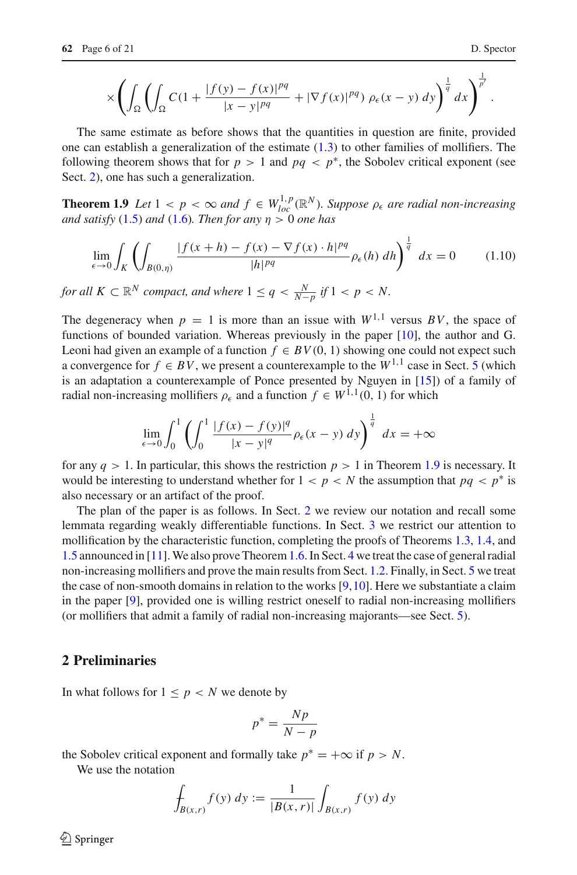$$
\times \left( \int_{\Omega} \left( \int_{\Omega} C (1 + \frac{|f(y) - f(x)|^{pq}}{|x - y|^{pq}} + |\nabla f(x)|^{pq} ) \rho_{\epsilon}(x - y) dy \right)^{\frac{1}{q}} dx \right)^{\frac{1}{p'}}.
$$

The same estimate as before shows that the quantities in question are finite, provided one can establish a generalization of the estimate [\(1.3\)](#page-1-2) to other families of mollifiers. The following theorem shows that for  $p > 1$  and  $pq < p^*$ , the Sobolev critical exponent (see Sect. [2\)](#page-5-0), one has such a generalization.

**Theorem 1.9** *Let*  $1 < p < \infty$  *and*  $f \in W_{loc}^{1,p}(\mathbb{R}^N)$ *. Suppose*  $\rho_{\epsilon}$  *are radial non-increasing and satisfy* [\(1.5\)](#page-2-3) *and* [\(1.6\)](#page-2-4)*. Then for any*  $\eta > 0$  *one has* 

<span id="page-5-1"></span>
$$
\lim_{\epsilon \to 0} \int_{K} \left( \int_{B(0,\eta)} \frac{|f(x+h) - f(x) - \nabla f(x) \cdot h|^{pq}}{|h|^{pq}} \rho_{\epsilon}(h) \, dh \right)^{\frac{1}{q}} \, dx = 0 \tag{1.10}
$$

*for all*  $K \subset \mathbb{R}^N$  *compact, and where*  $1 \leq q < \frac{N}{N-p}$  *if*  $1 < p < N$ *.* 

The degeneracy when  $p = 1$  is more than an issue with  $W^{1,1}$  versus BV, the space of functions of bounded variation. Whereas previously in the paper [\[10](#page-20-3)], the author and G. Leoni had given an example of a function  $f \in BV(0, 1)$  showing one could not expect such a convergence for  $f \in BV$ , we present a counterexample to the  $W^{1,1}$  case in Sect. [5](#page-16-0) (which is an adaptation a counterexample of Ponce presented by Nguyen in [\[15](#page-20-14)]) of a family of radial non-increasing mollifiers  $\rho_{\epsilon}$  and a function  $f \in W^{1,1}(0, 1)$  for which

$$
\lim_{\epsilon \to 0} \int_0^1 \left( \int_0^1 \frac{|f(x) - f(y)|^q}{|x - y|^q} \rho_{\epsilon}(x - y) \, dy \right)^{\frac{1}{q}} \, dx = +\infty
$$

for any  $q > 1$ . In particular, this shows the restriction  $p > 1$  in Theorem [1.9](#page-5-1) is necessary. It would be interesting to understand whether for  $1 < p < N$  the assumption that  $pq < p^*$  is also necessary or an artifact of the proof.

The plan of the paper is as follows. In Sect. [2](#page-5-0) we review our notation and recall some lemmata regarding weakly differentiable functions. In Sect. [3](#page-8-0) we restrict our attention to mollification by the characteristic function, completing the proofs of Theorems [1.3,](#page-1-3) [1.4,](#page-1-4) and [1.5](#page-2-5) announced in [\[11](#page-20-10)]. We also prove Theorem[1.6.](#page-2-2) In Sect. [4](#page-13-0) we treat the case of general radial non-increasing mollifiers and prove the main results from Sect. [1.2.](#page-2-0) Finally, in Sect. [5](#page-16-0) we treat the case of non-smooth domains in relation to the works [\[9](#page-20-2)[,10](#page-20-3)]. Here we substantiate a claim in the paper [\[9\]](#page-20-2), provided one is willing restrict oneself to radial non-increasing mollifiers (or mollifiers that admit a family of radial non-increasing majorants—see Sect. [5\)](#page-16-0).

#### <span id="page-5-0"></span>**2 Preliminaries**

In what follows for  $1 \leq p \leq N$  we denote by

$$
p^* = \frac{Np}{N-p}
$$

the Sobolev critical exponent and formally take  $p^* = +\infty$  if  $p > N$ .

We use the notation

$$
\oint_{B(x,r)} f(y) \, dy := \frac{1}{|B(x,r)|} \int_{B(x,r)} f(y) \, dy
$$

 $\circledcirc$  Springer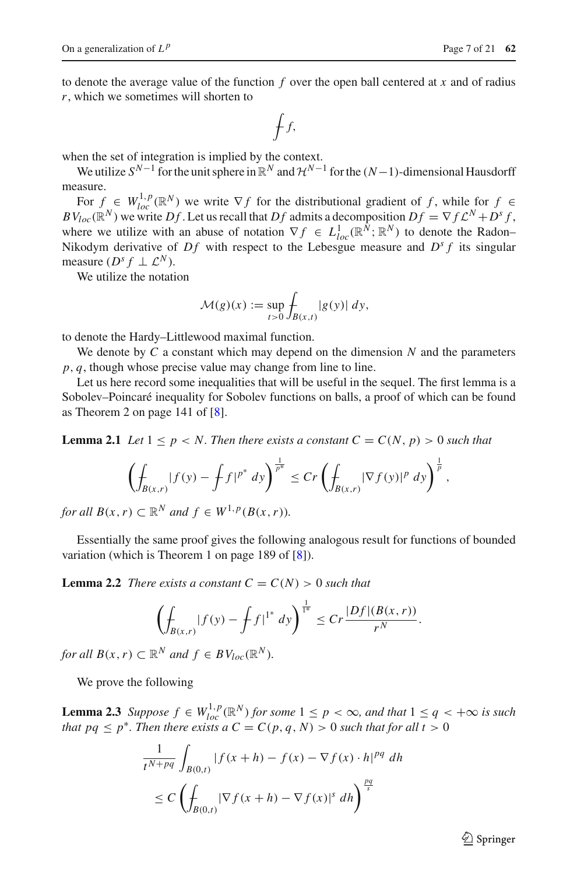to denote the average value of the function *f* over the open ball centered at *x* and of radius *r*, which we sometimes will shorten to

$$
\int f,
$$

when the set of integration is implied by the context.

We utilize  $S^{N-1}$  for the unit sphere in  $\mathbb{R}^N$  and  $\mathcal{H}^{N-1}$  for the  $(N-1)$ -dimensional Hausdorff measure.

For  $f \in W^{1,p}_{loc}(\mathbb{R}^N)$  we write  $\nabla f$  for the distributional gradient of *f*, while for  $f \in W^{1,p}_{loc}(\mathbb{R}^N)$  $BV_{loc}(\mathbb{R}^N)$  we write  $Df$ . Let us recall that  $Df$  admits a decomposition  $Df = \nabla f L^N + D^s f$ , where we utilize with an abuse of notation  $\nabla f \in L^1_{loc}(\mathbb{R}^N;\mathbb{R}^N)$  to denote the Radon– Nikodym derivative of  $Df$  with respect to the Lebesgue measure and  $D^s f$  its singular measure  $(D^s f \perp \mathcal{L}^N)$ .

We utilize the notation

$$
\mathcal{M}(g)(x) := \sup_{t>0} \int_{B(x,t)} |g(y)| dy,
$$

to denote the Hardy–Littlewood maximal function.

We denote by *C* a constant which may depend on the dimension *N* and the parameters *p*, *q*, though whose precise value may change from line to line.

Let us here record some inequalities that will be useful in the sequel. The first lemma is a Sobolev–Poincaré inequality for Sobolev functions on balls, a proof of which can be found as Theorem 2 on page 141 of [\[8\]](#page-20-5).

<span id="page-6-0"></span>**Lemma 2.1** *Let*  $1 \leq p \leq N$ . Then there exists a constant  $C = C(N, p) > 0$  such that

$$
\left(\int_{B(x,r)} |f(y) - \int f|^{p^*} dy\right)^{\frac{1}{p^*}} \le Cr \left(\int_{B(x,r)} |\nabla f(y)|^p dy\right)^{\frac{1}{p}},
$$

*for all*  $B(x, r) \subset \mathbb{R}^N$  *and*  $f \in W^{1,p}(B(x, r))$ *.* 

<span id="page-6-1"></span>Essentially the same proof gives the following analogous result for functions of bounded variation (which is Theorem 1 on page 189 of [\[8\]](#page-20-5)).

**Lemma 2.2** *There exists a constant*  $C = C(N) > 0$  *such that* 

$$
\left(\int_{B(x,r)}|f(y)-\int f|^{1^*}\,dy\right)^{\frac{1}{1^*}}\leq Cr\frac{|Df|(B(x,r))}{r^N}.
$$

*for all*  $B(x, r) \subset \mathbb{R}^N$  *and*  $f \in BV_{loc}(\mathbb{R}^N)$ *.* 

We prove the following

<span id="page-6-2"></span>**Lemma 2.3** *Suppose*  $f \in W_{loc}^{1,p}(\mathbb{R}^N)$  *for some*  $1 \leq p < \infty$ *, and that*  $1 \leq q < +\infty$  *is such that pq*  $\leq p^*$ *. Then there exists a*  $C = C(p, q, N) > 0$  *such that for all t* > 0

$$
\frac{1}{t^{N+pq}} \int_{B(0,t)} |f(x+h) - f(x) - \nabla f(x) \cdot h|^{pq} dh
$$
  
\n
$$
\leq C \left( \int_{B(0,t)} |\nabla f(x+h) - \nabla f(x)|^s dh \right)^{\frac{pq}{s}}
$$

 $\circled{2}$  Springer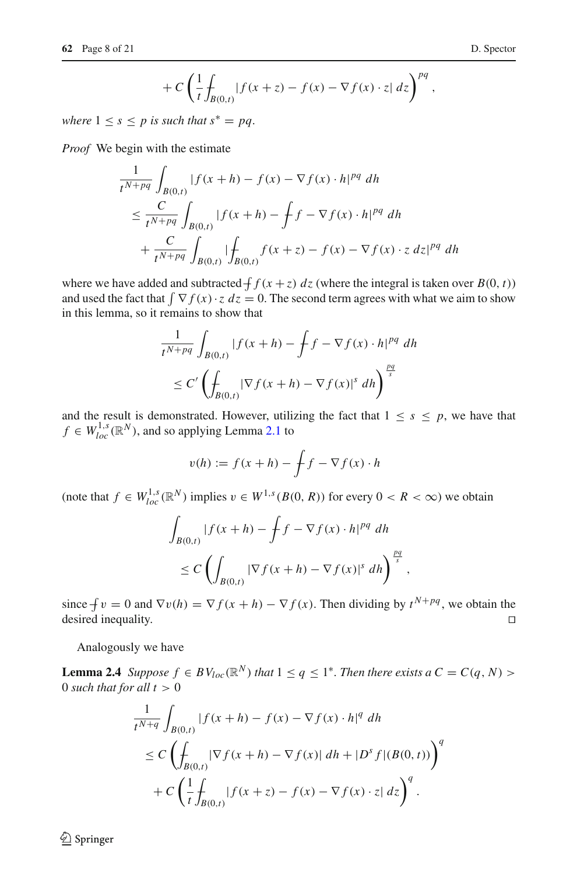$$
+ C \left( \frac{1}{t} \int_{B(0,t)} |f(x+z) - f(x) - \nabla f(x) \cdot z| \, dz \right)^{pq},
$$

*where*  $1 \leq s \leq p$  *is such that*  $s^* = pq$ .

*Proof* We begin with the estimate

$$
\frac{1}{t^{N+pq}} \int_{B(0,t)} |f(x+h) - f(x) - \nabla f(x) \cdot h|^{pq} dh
$$
\n
$$
\leq \frac{C}{t^{N+pq}} \int_{B(0,t)} |f(x+h) - \int f - \nabla f(x) \cdot h|^{pq} dh
$$
\n
$$
+ \frac{C}{t^{N+pq}} \int_{B(0,t)} |\int_{B(0,t)} f(x+z) - f(x) - \nabla f(x) \cdot z dz|^{pq} dh
$$

where we have added and subtracted  $\int f(x+z) dz$  (where the integral is taken over  $B(0, t)$ ) and used the fact that  $\int \nabla f(x) \cdot z \, dz = 0$ . The second term agrees with what we aim to show in this lemma, so it remains to show that

$$
\frac{1}{t^{N+pq}} \int_{B(0,t)} |f(x+h) - \int f - \nabla f(x) \cdot h|^{pq} dh
$$
  
\n
$$
\leq C' \left( \int_{B(0,t)} |\nabla f(x+h) - \nabla f(x)|^s dh \right)^{\frac{pq}{s}}
$$

and the result is demonstrated. However, utilizing the fact that  $1 \leq s \leq p$ , we have that  $f \in W_{loc}^{1,s}(\mathbb{R}^N)$ , and so applying Lemma [2.1](#page-6-0) to

$$
v(h) := f(x+h) - \int f - \nabla f(x) \cdot h
$$

(note that  $f \in W_{loc}^{1,s}(\mathbb{R}^N)$  implies  $v \in W^{1,s}(B(0, R))$  for every  $0 < R < \infty$ ) we obtain

$$
\int_{B(0,t)} |f(x+h) - \int f - \nabla f(x) \cdot h|^{pq} dh
$$
  
\n
$$
\leq C \left( \int_{B(0,t)} |\nabla f(x+h) - \nabla f(x)|^s dh \right)^{\frac{pq}{s}},
$$

since  $\int v = 0$  and  $\nabla v(h) = \nabla f(x + h) - \nabla f(x)$ . Then dividing by  $t^{N+pq}$ , we obtain the desired inequality.

<span id="page-7-0"></span>Analogously we have

**Lemma 2.4** *Suppose*  $f \in BV_{loc}(\mathbb{R}^N)$  *that*  $1 \leq q \leq 1^*$ *. Then there exists*  $a C = C(q, N)$ 0 *such that for all*  $t > 0$ 

$$
\frac{1}{t^{N+q}} \int_{B(0,t)} |f(x+h) - f(x) - \nabla f(x) \cdot h|^q \, dh
$$
\n
$$
\leq C \left( \int_{B(0,t)} |\nabla f(x+h) - \nabla f(x)| \, dh + |D^s f|(B(0,t)) \right)^q
$$
\n
$$
+ C \left( \frac{1}{t} \int_{B(0,t)} |f(x+z) - f(x) - \nabla f(x) \cdot z| \, dz \right)^q.
$$

 $\bigcirc$  Springer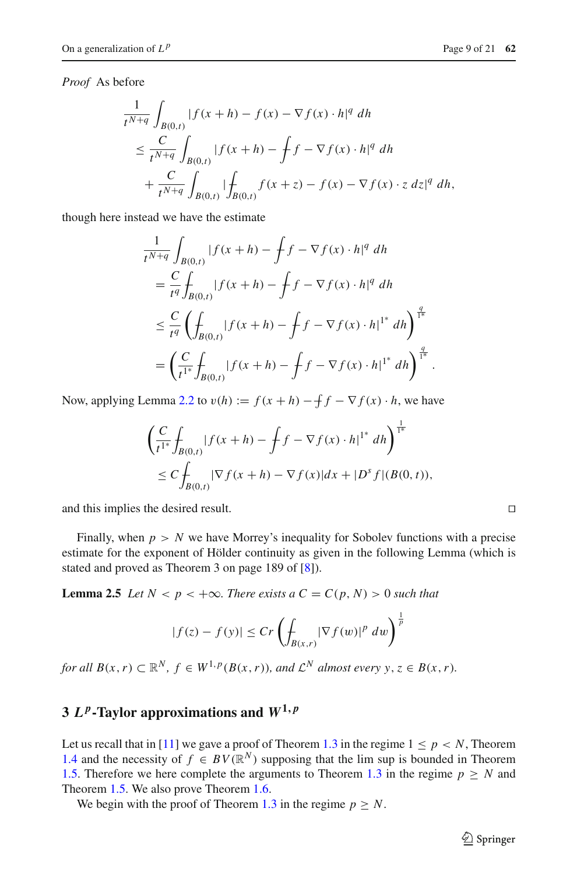*Proof* As before

$$
\frac{1}{t^{N+q}} \int_{B(0,t)} |f(x+h) - f(x) - \nabla f(x) \cdot h|^q \, dh
$$
\n
$$
\leq \frac{C}{t^{N+q}} \int_{B(0,t)} |f(x+h) - \int f - \nabla f(x) \cdot h|^q \, dh
$$
\n
$$
+ \frac{C}{t^{N+q}} \int_{B(0,t)} |\int_{B(0,t)} f(x+z) - f(x) - \nabla f(x) \cdot z \, dz|^q \, dh,
$$

though here instead we have the estimate

$$
\frac{1}{t^{N+q}} \int_{B(0,t)} |f(x+h) - \int f - \nabla f(x) \cdot h|^q \, dh
$$
\n
$$
= \frac{C}{t^q} \int_{B(0,t)} |f(x+h) - \int f - \nabla f(x) \cdot h|^q \, dh
$$
\n
$$
\leq \frac{C}{t^q} \left( \int_{B(0,t)} |f(x+h) - \int f - \nabla f(x) \cdot h|^{1^*} \, dh \right)^{\frac{q}{1^*}}
$$
\n
$$
= \left( \frac{C}{t^{1^*}} \int_{B(0,t)} |f(x+h) - \int f - \nabla f(x) \cdot h|^{1^*} \, dh \right)^{\frac{q}{1^*}}.
$$

Now, applying Lemma [2.2](#page-6-1) to  $v(h) := f(x + h) - \int f - \nabla f(x) \cdot h$ , we have

$$
\left(\frac{C}{t^{1^*}} \int_{B(0,t)} |f(x+h) - \int f - \nabla f(x) \cdot h|^{1^*} dh \right)^{\frac{1}{1^*}} \n\leq C \int_{B(0,t)} |\nabla f(x+h) - \nabla f(x)| dx + |D^s f|(B(0,t)),
$$

and this implies the desired result.

Finally, when  $p > N$  we have Morrey's inequality for Sobolev functions with a precise estimate for the exponent of Hölder continuity as given in the following Lemma (which is stated and proved as Theorem 3 on page 189 of [\[8\]](#page-20-5)).

**Lemma 2.5** *Let*  $N < p < +\infty$ *. There exists a*  $C = C(p, N) > 0$  *such that* 

<span id="page-8-1"></span>
$$
|f(z) - f(y)| \le Cr \left( \int_{B(x,r)} |\nabla f(w)|^p dw \right)^{\frac{1}{p}}
$$

*for all*  $B(x, r) \subset \mathbb{R}^N$ ,  $f \in W^{1,p}(B(x, r))$ *, and*  $\mathcal{L}^N$  *almost every*  $y, z \in B(x, r)$ *.* 

## <span id="page-8-0"></span>**3**  $L^p$ -Taylor approximations and  $W^{1,p}$

Let us recall that in [\[11](#page-20-10)] we gave a proof of Theorem [1.3](#page-1-3) in the regime  $1 \le p \le N$ , Theorem [1.4](#page-1-4) and the necessity of  $f \in BV(\mathbb{R}^N)$  supposing that the lim sup is bounded in Theorem [1.5.](#page-2-5) Therefore we here complete the arguments to Theorem [1.3](#page-1-3) in the regime  $p \geq N$  and Theorem [1.5.](#page-2-5) We also prove Theorem [1.6.](#page-2-2)

We begin with the proof of Theorem [1.3](#page-1-3) in the regime  $p \geq N$ .

 $\hat{\mathfrak{D}}$  Springer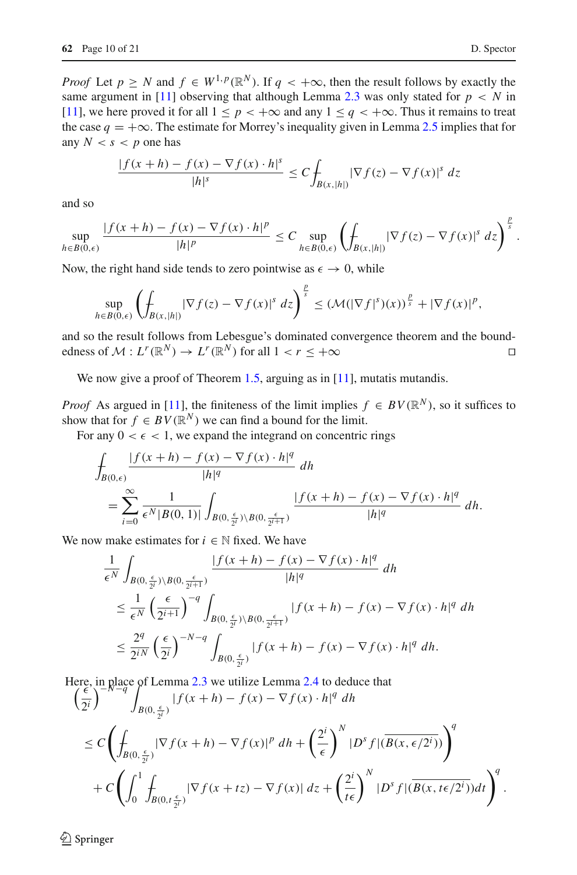*Proof* Let  $p \geq N$  and  $f \in W^{1,p}(\mathbb{R}^N)$ . If  $q < +\infty$ , then the result follows by exactly the same argument in [\[11](#page-20-10)] observing that although Lemma [2.3](#page-6-2) was only stated for  $p < N$  in [\[11\]](#page-20-10), we here proved it for all  $1 \leq p < +\infty$  and any  $1 \leq q < +\infty$ . Thus it remains to treat the case  $q = +\infty$ . The estimate for Morrey's inequality given in Lemma [2.5](#page-8-1) implies that for any  $N < s < p$  one has

$$
\frac{|f(x+h) - f(x) - \nabla f(x) \cdot h|^s}{|h|^s} \le C \int_{B(x, |h|)} |\nabla f(z) - \nabla f(x)|^s \, dz
$$

and so

$$
\sup_{h\in B(0,\epsilon)}\frac{|f(x+h)-f(x)-\nabla f(x)\cdot h|^p}{|h|^p}\leq C\sup_{h\in B(0,\epsilon)}\left(\int_{B(x,|h|)}|\nabla f(z)-\nabla f(x)|^s\,dz\right)^{\frac{p}{s}}
$$

Now, the right hand side tends to zero pointwise as  $\epsilon \to 0$ , while

$$
\sup_{h\in B(0,\epsilon)}\left(\int_{B(x,|h|)}|\nabla f(z)-\nabla f(x)|^s\,dz\right)^{\frac{p}{s}}\leq \left(\mathcal{M}(|\nabla f|^s)(x)\right)^{\frac{p}{s}}+|\nabla f(x)|^p,
$$

and so the result follows from Lebesgue's dominated convergence theorem and the boundedness of  $\mathcal{M}: L^r(\mathbb{R}^N) \to L^r(\mathbb{R}^N)$  for all  $1 < r \leq +\infty$ 

We now give a proof of Theorem [1.5,](#page-2-5) arguing as in [\[11](#page-20-10)], mutatis mutandis.

*Proof* As argued in [\[11\]](#page-20-10), the finiteness of the limit implies  $f \in BV(\mathbb{R}^N)$ , so it suffices to show that for  $f \in BV(\mathbb{R}^N)$  we can find a bound for the limit.

For any  $0 < \epsilon < 1$ , we expand the integrand on concentric rings

$$
\begin{split} &\int_{B(0,\epsilon)}\frac{|f(x+h)-f(x)-\nabla f(x)\cdot h|^q}{|h|^q}\,dh\\ &=\sum_{i=0}^\infty\frac{1}{\epsilon^N|B(0,1)|}\int_{B(0,\frac{\epsilon}{2^i})\backslash B(0,\frac{\epsilon}{2^{i+1}})}\frac{|f(x+h)-f(x)-\nabla f(x)\cdot h|^q}{|h|^q}\,dh. \end{split}
$$

We now make estimates for  $i \in \mathbb{N}$  fixed. We have

$$
\begin{split} &\frac{1}{\epsilon^N}\int_{B(0,\frac{\epsilon}{2^i})\backslash B(0,\frac{\epsilon}{2^{i+1}})}\frac{|f(x+h)-f(x)-\nabla f(x)\cdot h|^q}{|h|^q}\,dh\\ &\leq \frac{1}{\epsilon^N}\left(\frac{\epsilon}{2^{i+1}}\right)^{-q}\int_{B(0,\frac{\epsilon}{2^i})\backslash B(0,\frac{\epsilon}{2^{i+1}})}|f(x+h)-f(x)-\nabla f(x)\cdot h|^q\,dh\\ &\leq \frac{2^q}{2^{iN}}\left(\frac{\epsilon}{2^i}\right)^{-N-q}\int_{B(0,\frac{\epsilon}{2^i})}|f(x+h)-f(x)-\nabla f(x)\cdot h|^q\,dh. \end{split}
$$

Here, in place of Lemma 2.3 we utilize Lemma 2.4 to deduce that  
\n
$$
\left(\frac{\epsilon}{2^{i}}\right)^{-N-q} \int_{B(0,\frac{\epsilon}{2^{i}})} |f(x+h) - f(x) - \nabla f(x) \cdot h|^{q} dh
$$
\n
$$
\leq C \left( \int_{B(0,\frac{\epsilon}{2^{i}})} |\nabla f(x+h) - \nabla f(x)|^{p} dh + \left(\frac{2^{i}}{\epsilon}\right)^{N} |D^{s} f| (\overline{B(x,\epsilon/2^{i})}) \right)^{q}
$$
\n
$$
+ C \left( \int_{0}^{1} \int_{B(0,t\frac{\epsilon}{2^{i}})} |\nabla f(x + tz) - \nabla f(x)| dz + \left(\frac{2^{i}}{t\epsilon}\right)^{N} |D^{s} f| (\overline{B(x,t\epsilon/2^{i})}) dt \right)^{q}.
$$

 $\circledcirc$  Springer

.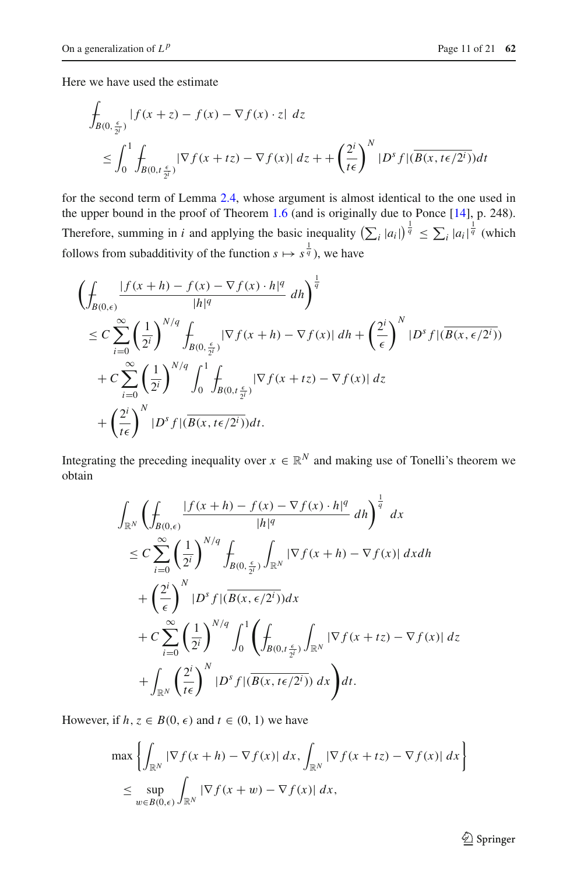Here we have used the estimate

$$
\int_{B(0,\frac{\epsilon}{2i})} |f(x+z) - f(x) - \nabla f(x) \cdot z| \, dz
$$
\n
$$
\leq \int_0^1 \int_{B(0,t\frac{\epsilon}{2i})} |\nabla f(x+tz) - \nabla f(x)| \, dz + \left(\frac{2^i}{t\epsilon}\right)^N |D^s f| (\overline{B(x,t\epsilon/2^i)}) dt
$$

for the second term of Lemma [2.4,](#page-7-0) whose argument is almost identical to the one used in the upper bound in the proof of Theorem [1.6](#page-2-2) (and is originally due to Ponce [\[14](#page-20-13)], p. 248). Therefore, summing in *i* and applying the basic inequality  $\left(\sum_i |a_i|\right)^{\frac{1}{q}} \le \sum_i |a_i|^{\frac{1}{q}}$  (which follows from subadditivity of the function  $s \mapsto s^{\frac{1}{q}}$ , we have

$$
\left(\int_{B(0,\epsilon)}\frac{|f(x+h)-f(x)-\nabla f(x)\cdot h|^q}{|h|^q} dh\right)^{\frac{1}{q}}
$$
\n
$$
\leq C \sum_{i=0}^{\infty} \left(\frac{1}{2^i}\right)^{N/q} \int_{B(0,\frac{\epsilon}{2^i})} |\nabla f(x+h)-\nabla f(x)| dh + \left(\frac{2^i}{\epsilon}\right)^N |D^s f| (\overline{B(x,\epsilon/2^i)})
$$
\n
$$
+ C \sum_{i=0}^{\infty} \left(\frac{1}{2^i}\right)^{N/q} \int_0^1 \int_{B(0,t\frac{\epsilon}{2^i})} |\nabla f(x+tz)-\nabla f(x)| dz
$$
\n
$$
+ \left(\frac{2^i}{t\epsilon}\right)^N |D^s f| (\overline{B(x,t\epsilon/2^i)}) dt.
$$

Integrating the preceding inequality over  $x \in \mathbb{R}^N$  and making use of Tonelli's theorem we obtain

$$
\int_{\mathbb{R}^N} \left( \int_{B(0,\epsilon)} \frac{|f(x+h) - f(x) - \nabla f(x) \cdot h|^q}{|h|^q} dh \right)^{\frac{1}{q}} dx
$$
\n
$$
\leq C \sum_{i=0}^{\infty} \left( \frac{1}{2^i} \right)^{N/q} \int_{B(0,\frac{\epsilon}{2^i})} \int_{\mathbb{R}^N} |\nabla f(x+h) - \nabla f(x)| dx dh
$$
\n
$$
+ \left( \frac{2^i}{\epsilon} \right)^N |D^s f| (\overline{B(x,\epsilon/2^i)}) dx
$$
\n
$$
+ C \sum_{i=0}^{\infty} \left( \frac{1}{2^i} \right)^{N/q} \int_0^1 \left( \int_{B(0,t\frac{\epsilon}{2^i})} \int_{\mathbb{R}^N} |\nabla f(x + tz) - \nabla f(x)| dz \right) dt
$$
\n
$$
+ \int_{\mathbb{R}^N} \left( \frac{2^i}{t\epsilon} \right)^N |D^s f| (\overline{B(x,t\epsilon/2^i)}) dx \right) dt.
$$

However, if  $h, z \in B(0, \epsilon)$  and  $t \in (0, 1)$  we have

$$
\max \left\{ \int_{\mathbb{R}^N} |\nabla f(x+h) - \nabla f(x)| dx, \int_{\mathbb{R}^N} |\nabla f(x+tz) - \nabla f(x)| dx \right\}
$$
  

$$
\leq \sup_{w \in B(0,\epsilon)} \int_{\mathbb{R}^N} |\nabla f(x+w) - \nabla f(x)| dx,
$$

 $\hat{2}$  Springer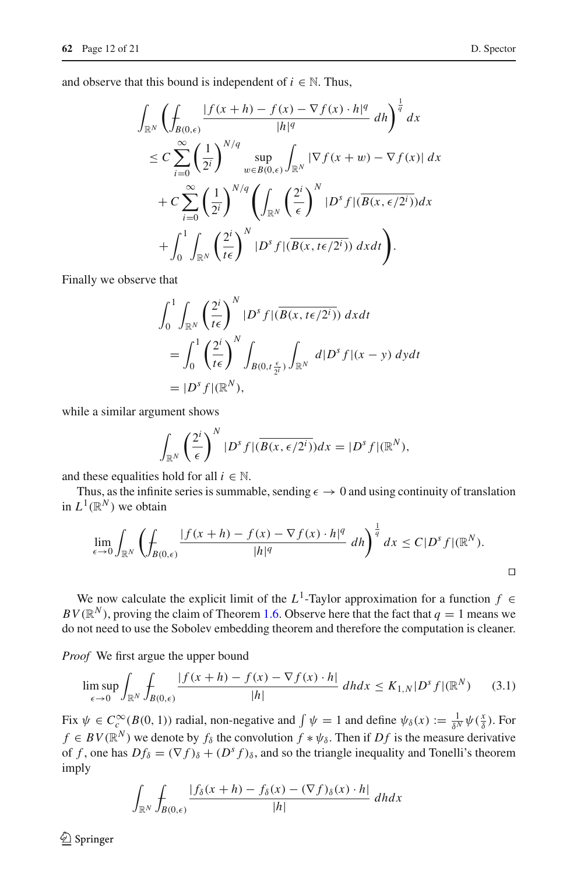and observe that this bound is independent of  $i \in \mathbb{N}$ . Thus,

$$
\int_{\mathbb{R}^N} \left( \int_{B(0,\epsilon)} \frac{|f(x+h) - f(x) - \nabla f(x) \cdot h|^q}{|h|^q} dh \right)^{\frac{1}{q}} dx
$$
\n
$$
\leq C \sum_{i=0}^{\infty} \left( \frac{1}{2^i} \right)^{N/q} \sup_{w \in B(0,\epsilon)} \int_{\mathbb{R}^N} |\nabla f(x+w) - \nabla f(x)| dx
$$
\n
$$
+ C \sum_{i=0}^{\infty} \left( \frac{1}{2^i} \right)^{N/q} \left( \int_{\mathbb{R}^N} \left( \frac{2^i}{\epsilon} \right)^N |D^s f| (\overline{B(x,\epsilon/2^i)}) dx \right)
$$
\n
$$
+ \int_0^1 \int_{\mathbb{R}^N} \left( \frac{2^i}{t \epsilon} \right)^N |D^s f| (\overline{B(x,t \epsilon/2^i)}) dx dt \right).
$$

Finally we observe that

$$
\int_0^1 \int_{\mathbb{R}^N} \left(\frac{2^i}{t\epsilon}\right)^N |D^s f|(\overline{B(x, t\epsilon/2^i)}) dx dt
$$
  
= 
$$
\int_0^1 \left(\frac{2^i}{t\epsilon}\right)^N \int_{B(0, t\frac{\epsilon}{2^i})} \int_{\mathbb{R}^N} d|D^s f|(x-y) dy dt
$$
  
= 
$$
|D^s f|(\mathbb{R}^N),
$$

while a similar argument shows

$$
\int_{\mathbb{R}^N} \left(\frac{2^i}{\epsilon}\right)^N |D^s f|(\overline{B(x,\epsilon/2^i)}) dx = |D^s f|(\mathbb{R}^N),
$$

and these equalities hold for all  $i \in \mathbb{N}$ .

Thus, as the infinite series is summable, sending  $\epsilon \to 0$  and using continuity of translation in  $L^1(\mathbb{R}^N)$  we obtain

$$
\lim_{\epsilon \to 0} \int_{\mathbb{R}^N} \left( \oint_{B(0,\epsilon)} \frac{|f(x+h) - f(x) - \nabla f(x) \cdot h|^q}{|h|^q} \, dh \right)^{\frac{1}{q}} dx \le C|D^s f|(\mathbb{R}^N).
$$

We now calculate the explicit limit of the  $L^1$ -Taylor approximation for a function  $f \in$  $BV(\mathbb{R}^N)$ , proving the claim of Theorem [1.6.](#page-2-2) Observe here that the fact that  $q = 1$  means we do not need to use the Sobolev embedding theorem and therefore the computation is cleaner.

*Proof* We first argue the upper bound

$$
\limsup_{\epsilon \to 0} \int_{\mathbb{R}^N} \int_{B(0,\epsilon)} \frac{|f(x+h) - f(x) - \nabla f(x) \cdot h|}{|h|} \, dh dx \le K_{1,N} |D^s f|(\mathbb{R}^N) \tag{3.1}
$$

Fix  $\psi \in C_c^{\infty}(B(0, 1))$  radial, non-negative and  $\int \psi = 1$  and define  $\psi_{\delta}(x) := \frac{1}{\delta^N} \psi(\frac{x}{\delta})$ . For  $f \in BV(\mathbb{R}^N)$  we denote by  $f_\delta$  the convolution  $f * \psi_\delta$ . Then if  $Df$  is the measure derivative of *f*, one has  $Df_{\delta} = (\nabla f)_{\delta} + (D^s f)_{\delta}$ , and so the triangle inequality and Tonelli's theorem imply

<span id="page-11-0"></span>
$$
\int_{\mathbb{R}^N} \int_{B(0,\epsilon)} \frac{|f_\delta(x+h) - f_\delta(x) - (\nabla f)_\delta(x) \cdot h|}{|h|} \, dh dx
$$

 $\bigcirc$  Springer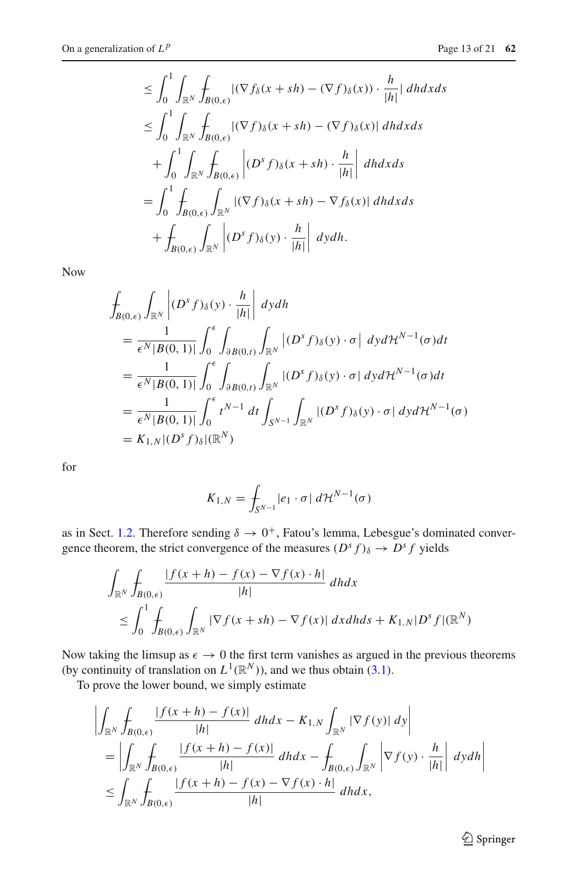$$
\leq \int_0^1 \int_{\mathbb{R}^N} \int_{B(0,\epsilon)} |(\nabla f_\delta(x + sh) - (\nabla f)_\delta(x)) \cdot \frac{h}{|h|} | dh dx ds
$$
  
\n
$$
\leq \int_0^1 \int_{\mathbb{R}^N} \int_{B(0,\epsilon)} |(\nabla f)_\delta(x + sh) - (\nabla f)_\delta(x)| dh dx ds
$$
  
\n
$$
+ \int_0^1 \int_{\mathbb{R}^N} \int_{B(0,\epsilon)} |(D^s f)_\delta(x + sh) \cdot \frac{h}{|h|} dh dx ds
$$
  
\n
$$
= \int_0^1 \int_{B(0,\epsilon)} \int_{\mathbb{R}^N} |(\nabla f)_\delta(x + sh) - \nabla f_\delta(x)| dh dx ds
$$
  
\n
$$
+ \int_{B(0,\epsilon)} \int_{\mathbb{R}^N} |(D^s f)_\delta(y) \cdot \frac{h}{|h|} dh dx ds.
$$

Now

$$
\int_{B(0,\epsilon)} \int_{\mathbb{R}^N} \left| (D^s f)_{\delta}(y) \cdot \frac{h}{|h|} \right| dy dh
$$
\n
$$
= \frac{1}{\epsilon^N |B(0,1)|} \int_0^{\epsilon} \int_{\partial B(0,t)} \int_{\mathbb{R}^N} |(D^s f)_{\delta}(y) \cdot \sigma | dy d\mathcal{H}^{N-1}(\sigma) dt
$$
\n
$$
= \frac{1}{\epsilon^N |B(0,1)|} \int_0^{\epsilon} \int_{\partial B(0,t)} \int_{\mathbb{R}^N} |(D^s f)_{\delta}(y) \cdot \sigma | dy d\mathcal{H}^{N-1}(\sigma) dt
$$
\n
$$
= \frac{1}{\epsilon^N |B(0,1)|} \int_0^{\epsilon} t^{N-1} dt \int_{S^{N-1}} \int_{\mathbb{R}^N} |(D^s f)_{\delta}(y) \cdot \sigma | dy d\mathcal{H}^{N-1}(\sigma)
$$
\n
$$
= K_{1,N} |(D^s f)_{\delta}|(\mathbb{R}^N)
$$

for

$$
K_{1,N} = \int_{S^{N-1}} |e_1 \cdot \sigma| \, d\mathcal{H}^{N-1}(\sigma)
$$

as in Sect. [1.2.](#page-2-0) Therefore sending  $\delta \to 0^+$ , Fatou's lemma, Lebesgue's dominated convergence theorem, the strict convergence of the measures  $(D^s f)_{\delta} \rightarrow D^s f$  yields

$$
\int_{\mathbb{R}^N} \int_{B(0,\epsilon)} \frac{|f(x+h) - f(x) - \nabla f(x) \cdot h|}{|h|} dh dx
$$
\n
$$
\leq \int_0^1 \int_{B(0,\epsilon)} \int_{\mathbb{R}^N} |\nabla f(x+sh) - \nabla f(x)| dx dh ds + K_{1,N} |D^s f|(\mathbb{R}^N)
$$

Now taking the limsup as  $\epsilon \to 0$  the first term vanishes as argued in the previous theorems (by continuity of translation on  $L^1(\mathbb{R}^N)$ ), and we thus obtain [\(3.1\)](#page-11-0).

To prove the lower bound, we simply estimate

$$
\left| \int_{\mathbb{R}^N} \int_{B(0,\epsilon)} \frac{|f(x+h) - f(x)|}{|h|} dh dx - K_{1,N} \int_{\mathbb{R}^N} |\nabla f(y)| dy \right|
$$
  
\n
$$
= \left| \int_{\mathbb{R}^N} \int_{B(0,\epsilon)} \frac{|f(x+h) - f(x)|}{|h|} dh dx - \int_{B(0,\epsilon)} \int_{\mathbb{R}^N} \left| \nabla f(y) \cdot \frac{h}{|h|} \right| dy dh \right|
$$
  
\n
$$
\leq \int_{\mathbb{R}^N} \int_{B(0,\epsilon)} \frac{|f(x+h) - f(x) - \nabla f(x) \cdot h|}{|h|} dh dx,
$$

<sup>2</sup> Springer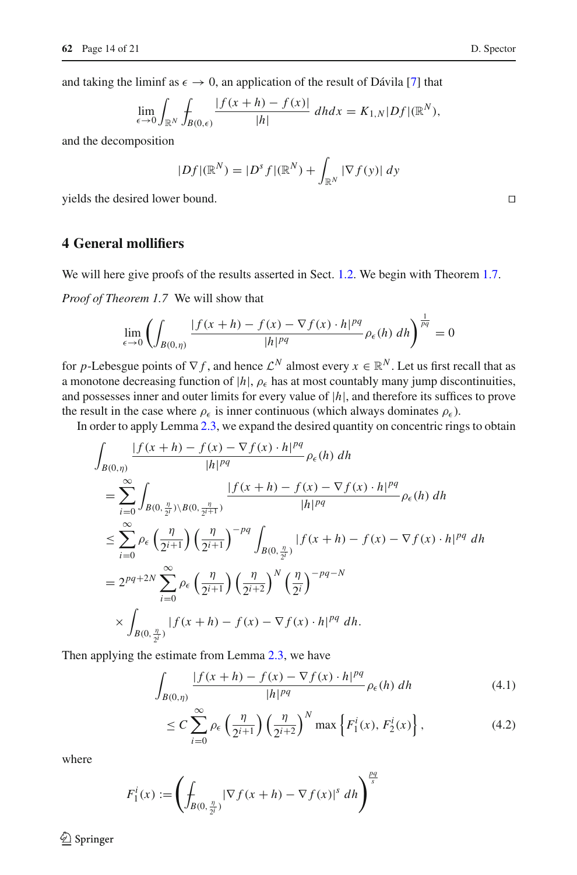$$
\lim_{\epsilon \to 0} \int_{\mathbb{R}^N} \int_{B(0,\epsilon)} \frac{|f(x+h) - f(x)|}{|h|} dh dx = K_{1,N} |Df|(\mathbb{R}^N),
$$

and the decomposition

$$
|Df|(\mathbb{R}^N) = |D^s f|(\mathbb{R}^N) + \int_{\mathbb{R}^N} |\nabla f(y)| dy
$$

yields the desired lower bound. 

## <span id="page-13-0"></span>**4 General mollifiers**

We will here give proofs of the results asserted in Sect. [1.2.](#page-2-0) We begin with Theorem [1.7.](#page-4-1)

*Proof of Theorem 1.7* We will show that

$$
\lim_{\epsilon \to 0} \left( \int_{B(0,\eta)} \frac{|f(x+h) - f(x) - \nabla f(x) \cdot h|^{pq}}{|h|^{pq}} \rho_{\epsilon}(h) \, dh \right)^{\frac{1}{pq}} = 0
$$

for *p*-Lebesgue points of  $\nabla f$ , and hence  $\mathcal{L}^N$  almost every  $x \in \mathbb{R}^N$ . Let us first recall that as a monotone decreasing function of  $|h|$ ,  $\rho_{\epsilon}$  has at most countably many jump discontinuities, and possesses inner and outer limits for every value of |*h*|, and therefore its suffices to prove the result in the case where  $\rho_{\epsilon}$  is inner continuous (which always dominates  $\rho_{\epsilon}$ ).

In order to apply Lemma [2.3,](#page-6-2) we expand the desired quantity on concentric rings to obtain

$$
\int_{B(0,\eta)} \frac{|f(x+h) - f(x) - \nabla f(x) \cdot h|^{pq}}{|h|^{pq}} \rho_{\epsilon}(h) dh
$$
\n
$$
= \sum_{i=0}^{\infty} \int_{B(0,\frac{\eta}{2^{i}}) \setminus B(0,\frac{\eta}{2^{i+1}})} \frac{|f(x+h) - f(x) - \nabla f(x) \cdot h|^{pq}}{|h|^{pq}} \rho_{\epsilon}(h) dh
$$
\n
$$
\leq \sum_{i=0}^{\infty} \rho_{\epsilon} \left(\frac{\eta}{2^{i+1}}\right) \left(\frac{\eta}{2^{i+1}}\right)^{-pq} \int_{B(0,\frac{\eta}{2^{i}})} |f(x+h) - f(x) - \nabla f(x) \cdot h|^{pq} dh
$$
\n
$$
= 2^{pq+2N} \sum_{i=0}^{\infty} \rho_{\epsilon} \left(\frac{\eta}{2^{i+1}}\right) \left(\frac{\eta}{2^{i+2}}\right)^{N} \left(\frac{\eta}{2^{i}}\right)^{-pq-N}
$$
\n
$$
\times \int_{B(0,\frac{\eta}{2^{i}})} |f(x+h) - f(x) - \nabla f(x) \cdot h|^{pq} dh.
$$

Then applying the estimate from Lemma [2.3,](#page-6-2) we have

$$
\int_{B(0,\eta)} \frac{|f(x+h) - f(x) - \nabla f(x) \cdot h|^{pq}}{|h|^{pq}} \rho_{\epsilon}(h) dh \tag{4.1}
$$

$$
\leq C \sum_{i=0}^{\infty} \rho_{\epsilon} \left( \frac{\eta}{2^{i+1}} \right) \left( \frac{\eta}{2^{i+2}} \right)^N \max \left\{ F_1^i(x), F_2^i(x) \right\},\tag{4.2}
$$

where

$$
F_1^i(x) := \left( \int_{B(0, \frac{\eta}{2^i})} |\nabla f(x+h) - \nabla f(x)|^s \, dh \right)^{\frac{pq}{s}}
$$

 $\bigcirc$  Springer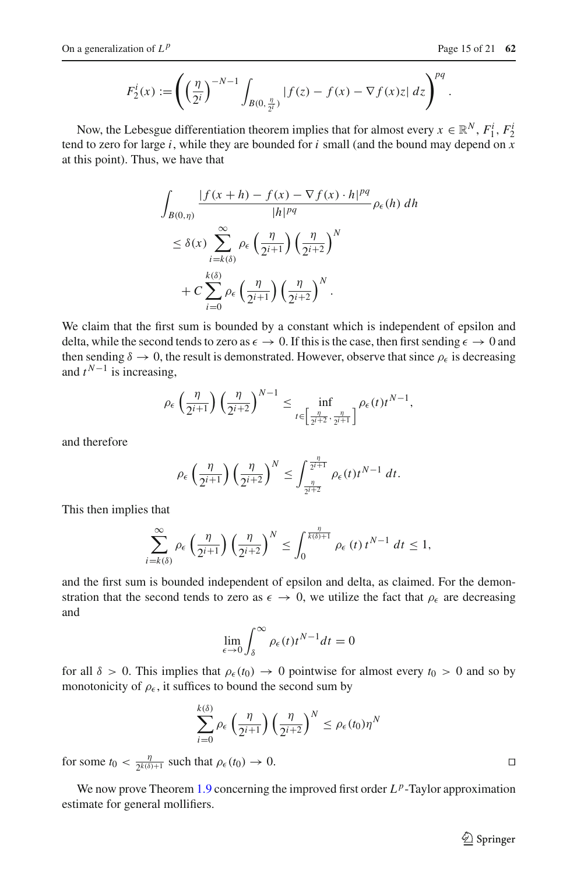$$
F_2^i(x) := \left( \left( \frac{\eta}{2^i} \right)^{-N-1} \int_{B(0, \frac{\eta}{2^i})} |f(z) - f(x) - \nabla f(x)z| \, dz \right)^{pq}.
$$

Now, the Lebesgue differentiation theorem implies that for almost every  $x \in \mathbb{R}^N$ ,  $F_1^i$ ,  $F_2^i$ tend to zero for large *i*, while they are bounded for *i* small (and the bound may depend on *x* at this point). Thus, we have that

$$
\int_{B(0,\eta)} \frac{|f(x+h) - f(x) - \nabla f(x) \cdot h|^{pq}}{|h|^{pq}} \rho_{\epsilon}(h) dh
$$
  

$$
\leq \delta(x) \sum_{i=k(\delta)}^{\infty} \rho_{\epsilon} \left(\frac{\eta}{2^{i+1}}\right) \left(\frac{\eta}{2^{i+2}}\right)^N
$$
  

$$
+ C \sum_{i=0}^{k(\delta)} \rho_{\epsilon} \left(\frac{\eta}{2^{i+1}}\right) \left(\frac{\eta}{2^{i+2}}\right)^N.
$$

We claim that the first sum is bounded by a constant which is independent of epsilon and delta, while the second tends to zero as  $\epsilon \to 0$ . If this is the case, then first sending  $\epsilon \to 0$  and then sending  $\delta \to 0$ , the result is demonstrated. However, observe that since  $\rho_{\epsilon}$  is decreasing and  $t^{N-1}$  is increasing,

$$
\rho_{\epsilon}\left(\frac{\eta}{2^{i+1}}\right)\left(\frac{\eta}{2^{i+2}}\right)^{N-1} \leq \inf_{t \in \left[\frac{\eta}{2^{i+2}}, \frac{\eta}{2^{i+1}}\right]} \rho_{\epsilon}(t) t^{N-1},
$$

and therefore

$$
\rho_{\epsilon}\left(\frac{\eta}{2^{i+1}}\right)\left(\frac{\eta}{2^{i+2}}\right)^N \leq \int_{\frac{\eta}{2^{i+2}}}^{\frac{\eta}{2^{i+1}}} \rho_{\epsilon}(t)t^{N-1} dt.
$$

This then implies that

$$
\sum_{i=k(\delta)}^{\infty} \rho_{\epsilon}\left(\frac{\eta}{2^{i+1}}\right) \left(\frac{\eta}{2^{i+2}}\right)^N \le \int_0^{\frac{\eta}{k(\delta)+1}} \rho_{\epsilon}(t) t^{N-1} dt \le 1,
$$

and the first sum is bounded independent of epsilon and delta, as claimed. For the demonstration that the second tends to zero as  $\epsilon \to 0$ , we utilize the fact that  $\rho_{\epsilon}$  are decreasing and

$$
\lim_{\epsilon \to 0} \int_{\delta}^{\infty} \rho_{\epsilon}(t) t^{N-1} dt = 0
$$

for all  $\delta > 0$ . This implies that  $\rho_{\epsilon}(t_0) \to 0$  pointwise for almost every  $t_0 > 0$  and so by monotonicity of  $\rho_{\epsilon}$ , it suffices to bound the second sum by

$$
\sum_{i=0}^{k(\delta)} \rho_{\epsilon} \left( \frac{\eta}{2^{i+1}} \right) \left( \frac{\eta}{2^{i+2}} \right)^N \leq \rho_{\epsilon}(t_0) \eta^N
$$

for some  $t_0 < \frac{\eta}{2^{k(\delta)+1}}$  such that  $\rho_{\epsilon}(t_0) \to 0$ .

We now prove Theorem [1.9](#page-5-1) concerning the improved first order  $L^p$ -Taylor approximation estimate for general mollifiers.

 $\hat{\mathfrak{D}}$  Springer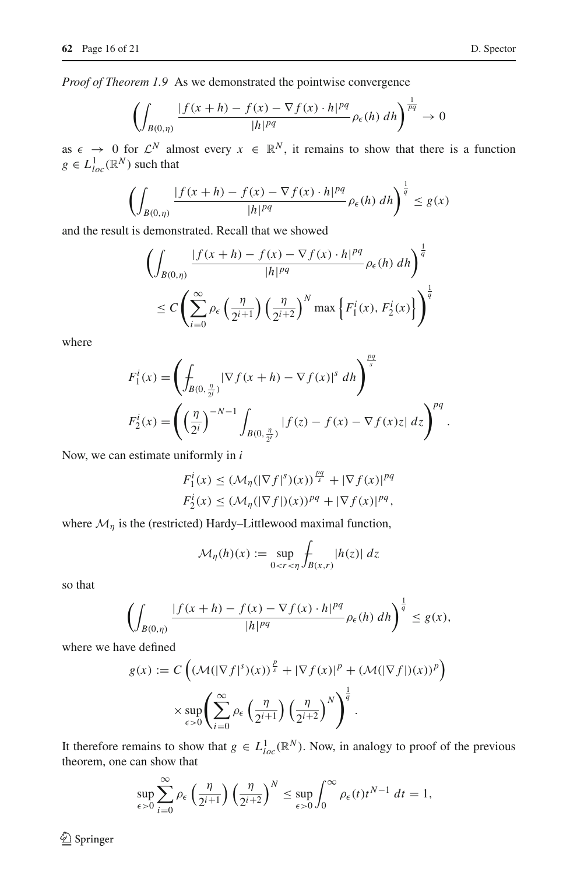*Proof of Theorem 1.9* As we demonstrated the pointwise convergence

$$
\left(\int_{B(0,\eta)}\frac{|f(x+h)-f(x)-\nabla f(x)\cdot h|^{pq}}{|h|^{pq}}\rho_{\epsilon}(h)\ dh\right)^{\frac{1}{pq}}\to 0
$$

as  $\epsilon \to 0$  for  $\mathcal{L}^N$  almost every  $x \in \mathbb{R}^N$ , it remains to show that there is a function  $g \in L^1_{loc}(\mathbb{R}^N)$  such that

$$
\left(\int_{B(0,\eta)}\frac{|f(x+h)-f(x)-\nabla f(x)\cdot h|^{pq}}{|h|^{pq}}\rho_{\epsilon}(h)\,dh\right)^{\frac{1}{q}}\le g(x)
$$

and the result is demonstrated. Recall that we showed

$$
\left(\int_{B(0,\eta)}\frac{|f(x+h)-f(x)-\nabla f(x)\cdot h|^{pq}}{|h|^{pq}}\rho_{\epsilon}(h) dh\right)^{\frac{1}{q}}
$$
  
 
$$
\leq C \left(\sum_{i=0}^{\infty} \rho_{\epsilon}\left(\frac{\eta}{2^{i+1}}\right) \left(\frac{\eta}{2^{i+2}}\right)^{N} \max\left\{F_{1}^{i}(x), F_{2}^{i}(x)\right\}\right)^{\frac{1}{q}}
$$

where

$$
F_1^i(x) = \left(\int_{B(0, \frac{\eta}{2^i})} |\nabla f(x+h) - \nabla f(x)|^s \, dh\right)^{\frac{pq}{s}}
$$
  

$$
F_2^i(x) = \left(\left(\frac{\eta}{2^i}\right)^{-N-1} \int_{B(0, \frac{\eta}{2^i})} |f(z) - f(x) - \nabla f(x)z| \, dz\right)^{pq}.
$$

Now, we can estimate uniformly in *i*

$$
F_1^i(x) \leq \left(\mathcal{M}_\eta(|\nabla f|^s)(x)\right)^{\frac{pq}{s}} + |\nabla f(x)|^{pq}
$$
  

$$
F_2^i(x) \leq \left(\mathcal{M}_\eta(|\nabla f|)(x)\right)^{pq} + |\nabla f(x)|^{pq},
$$

where  $\mathcal{M}_{\eta}$  is the (restricted) Hardy–Littlewood maximal function,

$$
\mathcal{M}_{\eta}(h)(x) := \sup_{0 < r < \eta} \int_{B(x,r)} |h(z)| \, dz
$$

so that

$$
\left(\int_{B(0,\eta)}\frac{|f(x+h)-f(x)-\nabla f(x)\cdot h|^{pq}}{|h|^{pq}}\rho_{\epsilon}(h)\,dh\right)^{\frac{1}{q}}\le g(x),
$$

where we have defined

$$
g(x) := C \left( \left( \mathcal{M}(|\nabla f|^s)(x) \right)^{\frac{p}{s}} + |\nabla f(x)|^p + \left( \mathcal{M}(|\nabla f|)(x) \right)^p \right)
$$

$$
\times \sup_{\epsilon > 0} \left( \sum_{i=0}^{\infty} \rho_{\epsilon} \left( \frac{\eta}{2^{i+1}} \right) \left( \frac{\eta}{2^{i+2}} \right)^N \right)^{\frac{1}{q}}.
$$

It therefore remains to show that  $g \in L^1_{loc}(\mathbb{R}^N)$ . Now, in analogy to proof of the previous theorem, one can show that

$$
\sup_{\epsilon>0}\sum_{i=0}^{\infty}\rho_{\epsilon}\left(\frac{\eta}{2^{i+1}}\right)\left(\frac{\eta}{2^{i+2}}\right)^N\leq \sup_{\epsilon>0}\int_0^{\infty}\rho_{\epsilon}(t)t^{N-1} dt=1,
$$

 $\bigcirc$  Springer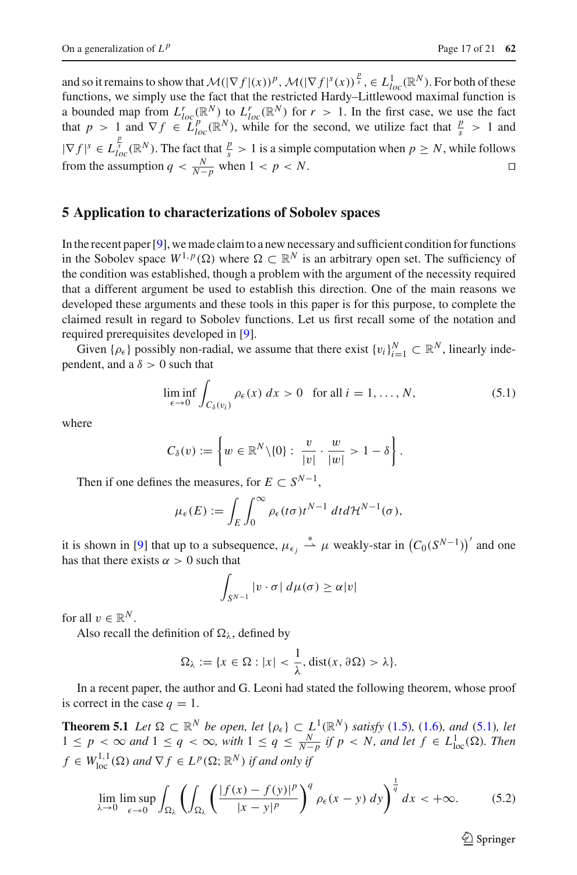and so it remains to show that  $\mathcal{M}(|\nabla f|(x))^p$ ,  $\mathcal{M}(|\nabla f|^s(x))^{\frac{p}{s}}$ ,  $\in L^1_{loc}(\mathbb{R}^N)$ . For both of these functions, we simply use the fact that the restricted Hardy–Littlewood maximal function is a bounded map from  $L^r_{loc}(\mathbb{R}^N)$  to  $L^r_{loc}(\mathbb{R}^N)$  for  $r > 1$ . In the first case, we use the fact that  $p > 1$  and  $\nabla f \in L_{loc}^p(\mathbb{R}^N)$ , while for the second, we utilize fact that  $\frac{p}{s} > 1$  and  $|\nabla f|^s \in L_{loc}^{\frac{p}{s}}(\mathbb{R}^N)$ . The fact that  $\frac{p}{s} > 1$  is a simple computation when  $p \ge N$ , while follows from the assumption  $q < \frac{N}{N-p}$  when  $1 < p < N$ .

#### <span id="page-16-0"></span>**5 Application to characterizations of Sobolev spaces**

In the recent paper [\[9](#page-20-2)], we made claim to a new necessary and sufficient condition for functions in the Sobolev space  $W^{1,p}(\Omega)$  where  $\Omega \subset \mathbb{R}^N$  is an arbitrary open set. The sufficiency of the condition was established, though a problem with the argument of the necessity required that a different argument be used to establish this direction. One of the main reasons we developed these arguments and these tools in this paper is for this purpose, to complete the claimed result in regard to Sobolev functions. Let us first recall some of the notation and required prerequisites developed in [\[9](#page-20-2)].

Given  $\{\rho_{\epsilon}\}\$  possibly non-radial, we assume that there exist  $\{v_i\}_{i=1}^N \subset \mathbb{R}^N$ , linearly independent, and a  $\delta > 0$  such that

$$
\liminf_{\epsilon \to 0} \int_{C_{\delta}(v_i)} \rho_{\epsilon}(x) \, dx > 0 \quad \text{for all } i = 1, \dots, N,\tag{5.1}
$$

<span id="page-16-1"></span>where

$$
C_{\delta}(v) := \left\{ w \in \mathbb{R}^N \backslash \{0\} : \frac{v}{|v|} \cdot \frac{w}{|w|} > 1 - \delta \right\}.
$$

Then if one defines the measures, for  $E \subset S^{N-1}$ ,

$$
\mu_{\epsilon}(E) := \int_{E} \int_{0}^{\infty} \rho_{\epsilon}(t\sigma) t^{N-1} dt d\mathcal{H}^{N-1}(\sigma),
$$

it is shown in [\[9](#page-20-2)] that up to a subsequence,  $\mu_{\epsilon_j} \stackrel{*}{\rightharpoonup} \mu$  weakly-star in  $(C_0(S^{N-1}))'$  and one has that there exists  $\alpha > 0$  such that

$$
\int_{S^{N-1}}|v\cdot\sigma|\,d\mu(\sigma)\geq\alpha|v|
$$

for all  $v \in \mathbb{R}^N$ .

Also recall the definition of  $\Omega_{\lambda}$ , defined by

$$
\Omega_{\lambda} := \{x \in \Omega : |x| < \frac{1}{\lambda}, \text{dist}(x, \partial \Omega) > \lambda\}.
$$

In a recent paper, the author and G. Leoni had stated the following theorem, whose proof is correct in the case  $q = 1$ .

**Theorem 5.1** *Let*  $\Omega \subset \mathbb{R}^N$  *be open, let*  $\{\rho_{\epsilon}\} \subset L^1(\mathbb{R}^N)$  *satisfy* [\(1.5\)](#page-2-3)*,* (1.6*), and* (5.1*), let*  $1 ≤ p < ∞$  *and*  $1 ≤ q < ∞$ *, with*  $1 ≤ q ≤ \frac{N}{N-p}$  *if*  $p < N$ *, and let*  $f ∈ L<sup>1</sup><sub>loc</sub>(Ω)$ *. Then*  $f \in W^{1,1}_{loc}(\Omega)$  and  $\nabla f \in L^p(\Omega;\mathbb{R}^N)$  *if and only if* 

$$
\lim_{\lambda \to 0} \limsup_{\epsilon \to 0} \int_{\Omega_{\lambda}} \left( \int_{\Omega_{\lambda}} \left( \frac{|f(x) - f(y)|^p}{|x - y|^p} \right)^q \rho_{\epsilon}(x - y) \, dy \right)^{\frac{1}{q}} dx < +\infty. \tag{5.2}
$$

 $\circled{2}$  Springer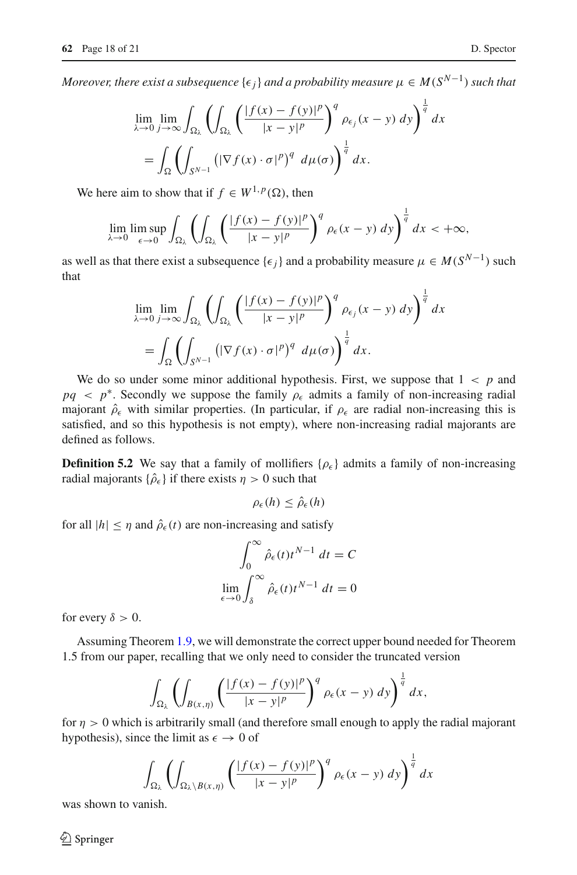*Moreover, there exist a subsequence*  $\{\epsilon_j\}$  *and a probability measure*  $\mu \in M(S^{N-1})$  *such that* 

$$
\lim_{\lambda \to 0} \lim_{j \to \infty} \int_{\Omega_{\lambda}} \left( \int_{\Omega_{\lambda}} \left( \frac{|f(x) - f(y)|^p}{|x - y|^p} \right)^q \rho_{\epsilon_j}(x - y) dy \right)^{\frac{1}{q}} dx
$$
  
= 
$$
\int_{\Omega} \left( \int_{S^{N-1}} \left( |\nabla f(x) \cdot \sigma|^p \right)^q d\mu(\sigma) \right)^{\frac{1}{q}} dx.
$$

We here aim to show that if  $f \in W^{1,p}(\Omega)$ , then

$$
\lim_{\lambda\to 0}\limsup_{\epsilon\to 0}\int_{\Omega_\lambda}\left(\int_{\Omega_\lambda}\left(\frac{|f(x)-f(y)|^p}{|x-y|^p}\right)^q\rho_\epsilon(x-y)\,dy\right)^{\frac{1}{q}}dx<+\infty,
$$

as well as that there exist a subsequence  $\{\epsilon_j\}$  and a probability measure  $\mu \in M(S^{N-1})$  such that

$$
\lim_{\lambda \to 0} \lim_{j \to \infty} \int_{\Omega_{\lambda}} \left( \int_{\Omega_{\lambda}} \left( \frac{|f(x) - f(y)|^p}{|x - y|^p} \right)^q \rho_{\epsilon_j}(x - y) dy \right)^{\frac{1}{q}} dx \n= \int_{\Omega} \left( \int_{S^{N-1}} \left( |\nabla f(x) \cdot \sigma|^p \right)^q d\mu(\sigma) \right)^{\frac{1}{q}} dx.
$$

We do so under some minor additional hypothesis. First, we suppose that  $1 < p$  and  $pq \leq p^*$ . Secondly we suppose the family  $\rho_{\epsilon}$  admits a family of non-increasing radial majorant  $\hat{\rho}_{\epsilon}$  with similar properties. (In particular, if  $\rho_{\epsilon}$  are radial non-increasing this is satisfied, and so this hypothesis is not empty), where non-increasing radial majorants are defined as follows.

**Definition 5.2** We say that a family of mollifiers  $\{\rho_{\epsilon}\}\$  admits a family of non-increasing radial majorants  $\{\hat{\rho}_{\epsilon}\}\$ if there exists  $\eta > 0$  such that

$$
\rho_{\epsilon}(h) \leq \hat{\rho}_{\epsilon}(h)
$$

for all  $|h| \leq \eta$  and  $\hat{\rho}_{\epsilon}(t)$  are non-increasing and satisfy

$$
\int_0^\infty \hat{\rho}_{\epsilon}(t)t^{N-1} dt = C
$$
  

$$
\lim_{\epsilon \to 0} \int_{\delta}^\infty \hat{\rho}_{\epsilon}(t)t^{N-1} dt = 0
$$

for every  $\delta > 0$ .

Assuming Theorem [1.9,](#page-5-1) we will demonstrate the correct upper bound needed for Theorem 1.5 from our paper, recalling that we only need to consider the truncated version

$$
\int_{\Omega_{\lambda}} \left( \int_{B(x,\eta)} \left( \frac{|f(x) - f(y)|^p}{|x - y|^p} \right)^q \rho_{\epsilon}(x - y) \, dy \right)^{\frac{1}{q}} dx,
$$

for  $\eta > 0$  which is arbitrarily small (and therefore small enough to apply the radial majorant hypothesis), since the limit as  $\epsilon \to 0$  of

$$
\int_{\Omega_{\lambda}} \left( \int_{\Omega_{\lambda} \setminus B(x,\eta)} \left( \frac{|f(x) - f(y)|^p}{|x - y|^p} \right)^q \rho_{\epsilon}(x - y) \, dy \right)^{\frac{1}{q}} dx
$$

was shown to vanish.

 $\circledcirc$  Springer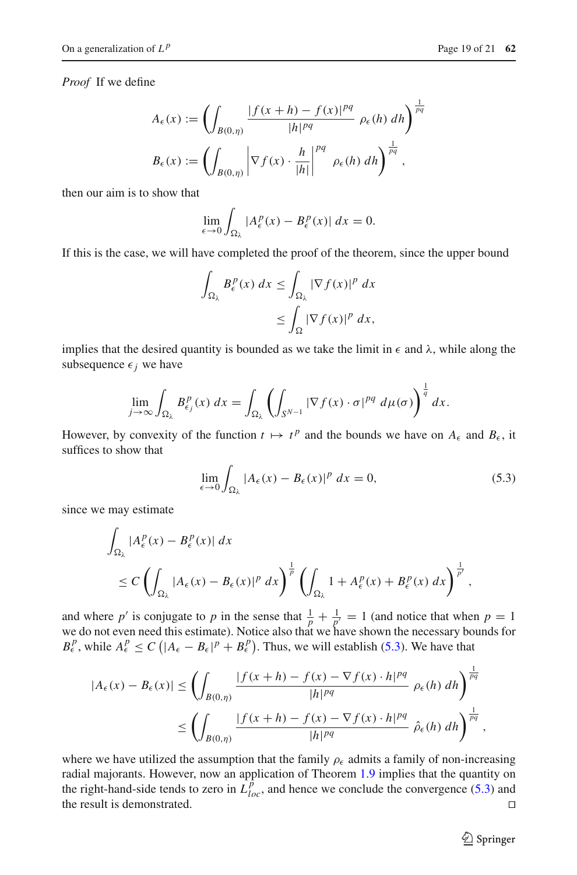*Proof* If we define

$$
A_{\epsilon}(x) := \left(\int_{B(0,\eta)} \frac{|f(x+h) - f(x)|^{pq}}{|h|^{pq}} \rho_{\epsilon}(h) dh\right)^{\frac{1}{pq}}
$$

$$
B_{\epsilon}(x) := \left(\int_{B(0,\eta)} \left|\nabla f(x) \cdot \frac{h}{|h|}\right|^{pq} \rho_{\epsilon}(h) dh\right)^{\frac{1}{pq}},
$$

then our aim is to show that

$$
\lim_{\epsilon \to 0} \int_{\Omega_{\lambda}} |A_{\epsilon}^{p}(x) - B_{\epsilon}^{p}(x)| dx = 0.
$$

If this is the case, we will have completed the proof of the theorem, since the upper bound

$$
\int_{\Omega_{\lambda}} B_{\epsilon}^{p}(x) dx \leq \int_{\Omega_{\lambda}} |\nabla f(x)|^{p} dx
$$
  

$$
\leq \int_{\Omega} |\nabla f(x)|^{p} dx,
$$

implies that the desired quantity is bounded as we take the limit in  $\epsilon$  and  $\lambda$ , while along the subsequence  $\epsilon_j$  we have

$$
\lim_{j\to\infty}\int_{\Omega_\lambda}B_{\epsilon_j}^p(x)\,dx=\int_{\Omega_\lambda}\left(\int_{S^{N-1}}|\nabla f(x)\cdot\sigma|^{pq}\,d\mu(\sigma)\right)^{\frac{1}{q}}dx.
$$

However, by convexity of the function  $t \mapsto t^p$  and the bounds we have on  $A_\epsilon$  and  $B_\epsilon$ , it suffices to show that

<span id="page-18-0"></span>
$$
\lim_{\epsilon \to 0} \int_{\Omega_{\lambda}} |A_{\epsilon}(x) - B_{\epsilon}(x)|^{p} dx = 0, \qquad (5.3)
$$

since we may estimate

$$
\int_{\Omega_{\lambda}} |A_{\epsilon}^{p}(x) - B_{\epsilon}^{p}(x)| dx
$$
\n
$$
\leq C \left( \int_{\Omega_{\lambda}} |A_{\epsilon}(x) - B_{\epsilon}(x)|^{p} dx \right)^{\frac{1}{p}} \left( \int_{\Omega_{\lambda}} 1 + A_{\epsilon}^{p}(x) + B_{\epsilon}^{p}(x) dx \right)^{\frac{1}{p'}},
$$

and where p' is conjugate to p in the sense that  $\frac{1}{p} + \frac{1}{p'} = 1$  (and notice that when  $p = 1$ we do not even need this estimate). Notice also that we have shown the necessary bounds for  $B_{\epsilon}^{p}$ , while  $A_{\epsilon}^{p} \leq C \left( |A_{\epsilon} - B_{\epsilon}|^{p} + B_{\epsilon}^{p} \right)$ . Thus, we will establish [\(5.3\)](#page-18-0). We have that

$$
|A_{\epsilon}(x) - B_{\epsilon}(x)| \le \left(\int_{B(0,\eta)} \frac{|f(x+h) - f(x) - \nabla f(x) \cdot h|^{pq}}{|h|^{pq}} \rho_{\epsilon}(h) dh\right)^{\frac{1}{pq}}
$$
  

$$
\le \left(\int_{B(0,\eta)} \frac{|f(x+h) - f(x) - \nabla f(x) \cdot h|^{pq}}{|h|^{pq}} \hat{\rho}_{\epsilon}(h) dh\right)^{\frac{1}{pq}}
$$

where we have utilized the assumption that the family  $\rho_{\epsilon}$  admits a family of non-increasing radial majorants. However, now an application of Theorem [1.9](#page-5-1) implies that the quantity on the right-hand-side tends to zero in  $\hat{L}_{loc}^{\hat{p}}$ , and hence we conclude the convergence [\(5.3\)](#page-18-0) and the result is demonstrated. 

<sup>2</sup> Springer

,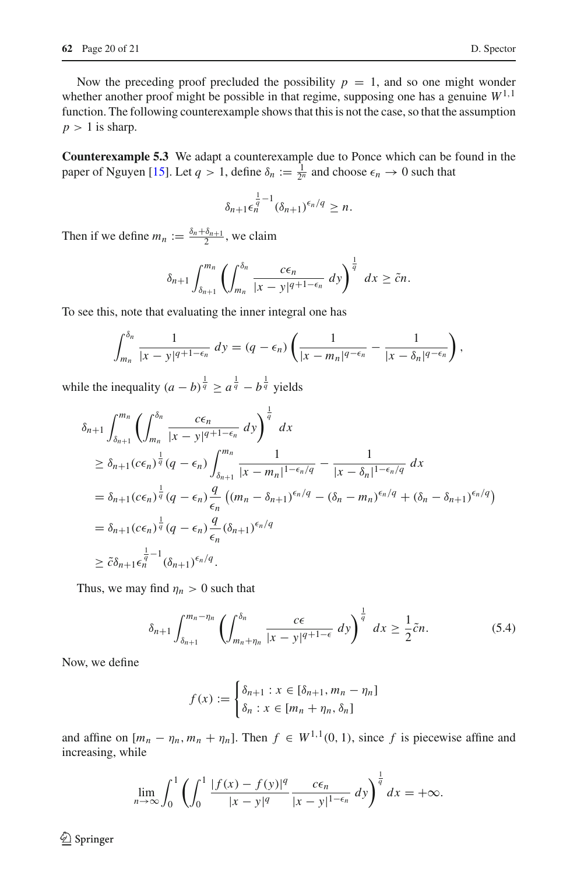Now the preceding proof precluded the possibility  $p = 1$ , and so one might wonder whether another proof might be possible in that regime, supposing one has a genuine  $W^{1,1}$ function. The following counterexample shows that this is not the case, so that the assumption  $p > 1$  is sharp.

**Counterexample 5.3** We adapt a counterexample due to Ponce which can be found in the paper of Nguyen [\[15\]](#page-20-14). Let  $q > 1$ , define  $\delta_n := \frac{1}{2^n}$  and choose  $\epsilon_n \to 0$  such that

$$
\delta_{n+1} \epsilon_n^{\frac{1}{q}-1} (\delta_{n+1})^{\epsilon_n/q} \geq n.
$$

Then if we define  $m_n := \frac{\delta_n + \delta_{n+1}}{2}$ , we claim

$$
\delta_{n+1} \int_{\delta_{n+1}}^{m_n} \left( \int_{m_n}^{\delta_n} \frac{c \epsilon_n}{|x - y|^{q+1-\epsilon_n}} dy \right)^{\frac{1}{q}} dx \geq \tilde{c} n.
$$

To see this, note that evaluating the inner integral one has

$$
\int_{m_n}^{\delta_n} \frac{1}{|x-y|^{q+1-\epsilon_n}} dy = (q-\epsilon_n) \left( \frac{1}{|x-m_n|^{q-\epsilon_n}} - \frac{1}{|x-\delta_n|^{q-\epsilon_n}} \right),
$$

while the inequality  $(a - b)^{\frac{1}{q}} \ge a^{\frac{1}{q}} - b^{\frac{1}{q}}$  yields

$$
\delta_{n+1} \int_{\delta_{n+1}}^{m_n} \left( \int_{\delta_n}^{\delta_n} \frac{c\epsilon_n}{|x - y|^{q+1-\epsilon_n}} dy \right)^{\frac{1}{q}} dx
$$
  
\n
$$
\geq \delta_{n+1} (c\epsilon_n)^{\frac{1}{q}} (q - \epsilon_n) \int_{\delta_{n+1}}^{m_n} \frac{1}{|x - m_n|^{1-\epsilon_n/q}} - \frac{1}{|x - \delta_n|^{1-\epsilon_n/q}} dx
$$
  
\n
$$
= \delta_{n+1} (c\epsilon_n)^{\frac{1}{q}} (q - \epsilon_n) \frac{q}{\epsilon_n} \left( (m_n - \delta_{n+1})^{\epsilon_n/q} - (\delta_n - m_n)^{\epsilon_n/q} + (\delta_n - \delta_{n+1})^{\epsilon_n/q} \right)
$$
  
\n
$$
= \delta_{n+1} (c\epsilon_n)^{\frac{1}{q}} (q - \epsilon_n) \frac{q}{\epsilon_n} (\delta_{n+1})^{\epsilon_n/q}
$$
  
\n
$$
\geq \tilde{c}\delta_{n+1} \epsilon_n^{\frac{1}{q}-1} (\delta_{n+1})^{\epsilon_n/q}.
$$

Thus, we may find  $\eta_n > 0$  such that

$$
\delta_{n+1} \int_{\delta_{n+1}}^{m_n - \eta_n} \left( \int_{m_n + \eta_n}^{\delta_n} \frac{c\epsilon}{|x - y|^{q+1-\epsilon}} dy \right)^{\frac{1}{q}} dx \ge \frac{1}{2} \tilde{c} n. \tag{5.4}
$$

Now, we define

<span id="page-19-0"></span>
$$
f(x) := \begin{cases} \delta_{n+1} : x \in [\delta_{n+1}, m_n - \eta_n] \\ \delta_n : x \in [m_n + \eta_n, \delta_n] \end{cases}
$$

and affine on  $[m_n - \eta_n, m_n + \eta_n]$ . Then  $f \in W^{1,1}(0, 1)$ , since f is piecewise affine and increasing, while

$$
\lim_{n\to\infty}\int_0^1\left(\int_0^1\frac{|f(x)-f(y)|^q}{|x-y|^q}\frac{c\epsilon_n}{|x-y|^{1-\epsilon_n}}\,dy\right)^{\frac{1}{q}}dx=+\infty.
$$

 $\circledcirc$  Springer